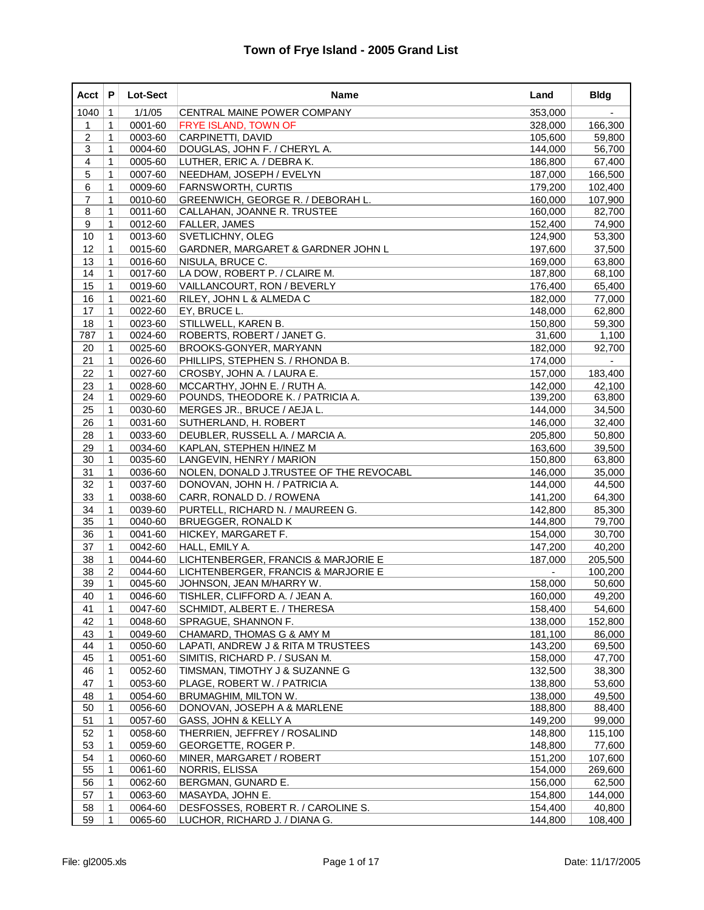| Acct           | P            | Lot-Sect | Name                                    | Land    | <b>Bldg</b>    |
|----------------|--------------|----------|-----------------------------------------|---------|----------------|
| 1040           | $\mathbf{1}$ | 1/1/05   | CENTRAL MAINE POWER COMPANY             | 353,000 |                |
| 1              | 1            | 0001-60  | <b>FRYE ISLAND, TOWN OF</b>             | 328,000 | 166,300        |
| $\overline{2}$ | $\mathbf{1}$ | 0003-60  | CARPINETTI, DAVID                       | 105,600 | 59,800         |
| 3              | 1            | 0004-60  | DOUGLAS, JOHN F. / CHERYL A.            | 144,000 | 56,700         |
| 4              | $\mathbf{1}$ | 0005-60  | LUTHER, ERIC A. / DEBRA K.              | 186,800 | 67,400         |
| 5              | $\mathbf{1}$ | 0007-60  | NEEDHAM, JOSEPH / EVELYN                | 187,000 | 166,500        |
| 6              | 1            | 0009-60  | FARNSWORTH, CURTIS                      | 179,200 | 102,400        |
| $\overline{7}$ | $\mathbf{1}$ | 0010-60  | GREENWICH, GEORGE R. / DEBORAH L.       | 160,000 | 107,900        |
| 8              | 1            | 0011-60  | CALLAHAN, JOANNE R. TRUSTEE             | 160,000 | 82,700         |
| 9              | $\mathbf 1$  | 0012-60  | <b>FALLER, JAMES</b>                    | 152,400 | 74,900         |
| 10             | 1            | 0013-60  | <b>SVETLICHNY, OLEG</b>                 | 124,900 | 53,300         |
| 12             | 1            | 0015-60  | GARDNER, MARGARET & GARDNER JOHN L      | 197,600 | 37,500         |
| 13             | 1            | 0016-60  | NISULA, BRUCE C.                        | 169,000 | 63,800         |
| 14             | 1            | 0017-60  | LA DOW, ROBERT P. / CLAIRE M.           | 187,800 | 68,100         |
| 15             | $\mathbf 1$  | 0019-60  | VAILLANCOURT, RON / BEVERLY             | 176,400 | 65,400         |
| 16             | 1            | 0021-60  | RILEY, JOHN L & ALMEDA C                | 182,000 | 77,000         |
| 17             | 1            | 0022-60  | EY, BRUCE L.                            | 148,000 | 62,800         |
| 18             | $\mathbf{1}$ | 0023-60  | STILLWELL, KAREN B.                     | 150,800 | 59,300         |
| 787            | $\mathbf 1$  | 0024-60  | ROBERTS, ROBERT / JANET G.              | 31,600  | 1,100          |
| 20             | $\mathbf 1$  | 0025-60  | <b>BROOKS-GONYER, MARYANN</b>           | 182,000 | 92,700         |
| 21             | $\mathbf{1}$ | 0026-60  | PHILLIPS, STEPHEN S. / RHONDA B.        | 174,000 | $\blacksquare$ |
| 22             | 1            | 0027-60  | CROSBY, JOHN A. / LAURA E.              | 157,000 | 183,400        |
| 23             | 1            | 0028-60  | MCCARTHY, JOHN E. / RUTH A.             | 142,000 | 42,100         |
| 24             | $\mathbf 1$  | 0029-60  | POUNDS, THEODORE K. / PATRICIA A.       | 139,200 | 63,800         |
| 25             | $\mathbf 1$  | 0030-60  | MERGES JR., BRUCE / AEJA L.             | 144,000 | 34,500         |
| 26             | $\mathbf{1}$ | 0031-60  | SUTHERLAND, H. ROBERT                   | 146,000 | 32,400         |
| 28             | 1            | 0033-60  | DEUBLER, RUSSELL A. / MARCIA A.         | 205,800 | 50,800         |
| 29             | $\mathbf{1}$ | 0034-60  | KAPLAN, STEPHEN H/INEZ M                | 163,600 | 39,500         |
| 30             | $\mathbf 1$  | 0035-60  | LANGEVIN, HENRY / MARION                | 150,800 | 63,800         |
| 31             | $\mathbf 1$  | 0036-60  | NOLEN, DONALD J.TRUSTEE OF THE REVOCABL | 146,000 | 35,000         |
| 32             | 1            | 0037-60  | DONOVAN, JOHN H. / PATRICIA A.          | 144,000 | 44,500         |
| 33             | 1            | 0038-60  | CARR, RONALD D. / ROWENA                | 141,200 | 64,300         |
| 34             | 1            | 0039-60  | PURTELL, RICHARD N. / MAUREEN G.        | 142,800 | 85,300         |
| 35             | 1            | 0040-60  | <b>BRUEGGER, RONALD K</b>               | 144,800 | 79,700         |
| 36             | $\mathbf 1$  | 0041-60  | HICKEY, MARGARET F.                     | 154,000 | 30,700         |
| 37             | 1            | 0042-60  | HALL, EMILY A.                          | 147,200 | 40,200         |
| 38             | 1            | 0044-60  | LICHTENBERGER, FRANCIS & MARJORIE E     | 187,000 | 205,500        |
| 38             | 2            | 0044-60  | LICHTENBERGER, FRANCIS & MARJORIE E     |         | 100,200        |
| 39             | $\mathbf{1}$ | 0045-60  | JOHNSON, JEAN M/HARRY W.                | 158,000 | 50,600         |
| 40             | $\mathbf 1$  | 0046-60  | TISHLER, CLIFFORD A. / JEAN A.          | 160,000 | 49,200         |
| 41             | $\mathbf 1$  | 0047-60  | SCHMIDT, ALBERT E. / THERESA            | 158,400 | 54,600         |
| 42             | 1            | 0048-60  | SPRAGUE, SHANNON F.                     | 138,000 | 152,800        |
| 43             | 1            | 0049-60  | CHAMARD, THOMAS G & AMY M               | 181,100 | 86,000         |
| 44             | 1            | 0050-60  | LAPATI, ANDREW J & RITA M TRUSTEES      | 143,200 | 69,500         |
| 45             | 1            | 0051-60  | SIMITIS, RICHARD P. / SUSAN M.          | 158,000 | 47,700         |
| 46             | 1            | 0052-60  | TIMSMAN, TIMOTHY J & SUZANNE G          | 132,500 | 38,300         |
| 47             | 1            | 0053-60  | PLAGE, ROBERT W. / PATRICIA             | 138,800 | 53,600         |
| 48             | 1            | 0054-60  | <b>BRUMAGHIM, MILTON W.</b>             | 138,000 | 49,500         |
| 50             | 1            | 0056-60  | DONOVAN, JOSEPH A & MARLENE             | 188,800 | 88,400         |
| 51             | 1            | 0057-60  | GASS, JOHN & KELLY A                    | 149,200 | 99,000         |
| 52             | 1            | 0058-60  | THERRIEN, JEFFREY / ROSALIND            | 148,800 | 115,100        |
| 53             | 1            | 0059-60  | GEORGETTE, ROGER P.                     | 148,800 | 77,600         |
| 54             | 1            | 0060-60  | MINER, MARGARET / ROBERT                | 151,200 | 107,600        |
| 55             | 1            | 0061-60  | NORRIS, ELISSA                          | 154,000 | 269,600        |
| 56             | 1            | 0062-60  | BERGMAN, GUNARD E.                      | 156,000 | 62,500         |
| 57             | 1            | 0063-60  | MASAYDA, JOHN E.                        | 154,800 | 144,000        |
| 58             | 1            | 0064-60  | DESFOSSES, ROBERT R. / CAROLINE S.      | 154,400 | 40,800         |
| 59             | 1            | 0065-60  | LUCHOR, RICHARD J. / DIANA G.           | 144,800 | 108,400        |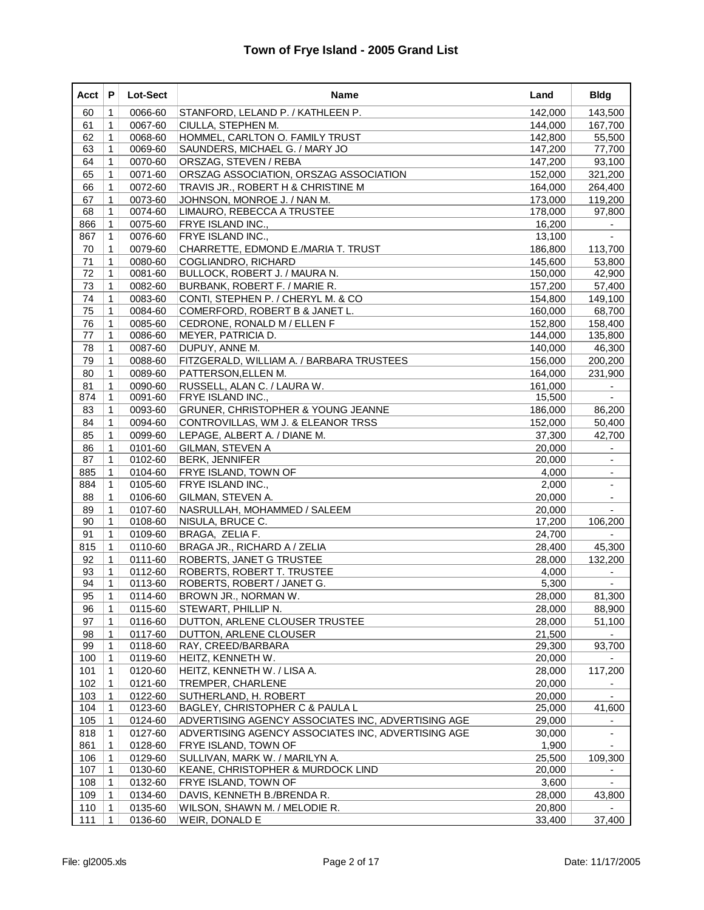| Acct | P            | <b>Lot-Sect</b> | Name                                               | Land    | <b>Bldg</b>              |
|------|--------------|-----------------|----------------------------------------------------|---------|--------------------------|
| 60   | 1            | 0066-60         | STANFORD, LELAND P. / KATHLEEN P.                  | 142,000 | 143,500                  |
| 61   | 1            | 0067-60         | CIULLA, STEPHEN M.                                 | 144,000 | 167,700                  |
| 62   | $\mathbf{1}$ | 0068-60         | HOMMEL, CARLTON O. FAMILY TRUST                    | 142,800 | 55,500                   |
| 63   | 1            | 0069-60         | SAUNDERS, MICHAEL G. / MARY JO                     | 147,200 | 77,700                   |
| 64   | 1            | 0070-60         | ORSZAG, STEVEN / REBA                              | 147,200 | 93,100                   |
| 65   | 1            | 0071-60         | ORSZAG ASSOCIATION, ORSZAG ASSOCIATION             | 152,000 | 321,200                  |
| 66   | 1            | 0072-60         | TRAVIS JR., ROBERT H & CHRISTINE M                 | 164,000 | 264,400                  |
| 67   | $\mathbf{1}$ | 0073-60         | JOHNSON, MONROE J. / NAN M.                        | 173,000 | 119,200                  |
| 68   | 1            | 0074-60         | LIMAURO, REBECCA A TRUSTEE                         | 178,000 | 97,800                   |
| 866  | $\mathbf{1}$ | 0075-60         | FRYE ISLAND INC.,                                  | 16,200  | $\overline{\phantom{a}}$ |
| 867  | $\mathbf 1$  | 0076-60         | <b>FRYE ISLAND INC.,</b>                           | 13,100  |                          |
| 70   | 1            | 0079-60         | CHARRETTE, EDMOND E./MARIA T. TRUST                | 186,800 | 113,700                  |
| 71   | 1            | 0080-60         | COGLIANDRO, RICHARD                                | 145,600 | 53,800                   |
| 72   | 1            | 0081-60         | BULLOCK, ROBERT J. / MAURA N.                      | 150,000 | 42,900                   |
| 73   | 1            | 0082-60         | BURBANK, ROBERT F. / MARIE R.                      | 157,200 | 57,400                   |
| 74   | $\mathbf{1}$ | 0083-60         | CONTI, STEPHEN P. / CHERYL M. & CO                 | 154,800 | 149,100                  |
| 75   | 1            | 0084-60         | COMERFORD, ROBERT B & JANET L.                     | 160,000 | 68,700                   |
| 76   | $\mathbf{1}$ | 0085-60         | CEDRONE, RONALD M / ELLEN F                        | 152,800 | 158,400                  |
| 77   | 1            | 0086-60         | MEYER, PATRICIA D.                                 | 144,000 | 135,800                  |
| 78   | 1            | 0087-60         | DUPUY, ANNE M.                                     | 140,000 | 46,300                   |
| 79   | 1            | 0088-60         | FITZGERALD, WILLIAM A. / BARBARA TRUSTEES          | 156,000 | 200,200                  |
| 80   | 1            | 0089-60         | PATTERSON, ELLEN M.                                | 164,000 | 231,900                  |
| 81   | $\mathbf{1}$ | 0090-60         | RUSSELL, ALAN C. / LAURA W.                        | 161,000 |                          |
| 874  | 1            | 0091-60         | FRYE ISLAND INC.,                                  | 15,500  |                          |
| 83   | 1            | 0093-60         | <b>GRUNER, CHRISTOPHER &amp; YOUNG JEANNE</b>      | 186,000 | 86,200                   |
| 84   | $\mathbf{1}$ | 0094-60         | CONTROVILLAS, WM J. & ELEANOR TRSS                 | 152,000 | 50,400                   |
| 85   | 1            | 0099-60         | LEPAGE, ALBERT A. / DIANE M.                       | 37,300  | 42,700                   |
| 86   | $\mathbf{1}$ | 0101-60         | <b>GILMAN, STEVEN A</b>                            | 20,000  |                          |
| 87   | 1            | 0102-60         | <b>BERK, JENNIFER</b>                              | 20,000  |                          |
| 885  | $\mathbf{1}$ | 0104-60         | <b>FRYE ISLAND, TOWN OF</b>                        | 4,000   | $\overline{\phantom{a}}$ |
| 884  | 1            | 0105-60         | FRYE ISLAND INC.,                                  | 2,000   | $\overline{\phantom{a}}$ |
| 88   | 1            | 0106-60         | GILMAN, STEVEN A.                                  | 20,000  |                          |
| 89   | 1            | 0107-60         | NASRULLAH, MOHAMMED / SALEEM                       | 20,000  | $\overline{a}$           |
| 90   | 1            | 0108-60         | NISULA, BRUCE C.                                   | 17,200  | 106,200                  |
| 91   | $\mathbf{1}$ | 0109-60         | BRAGA, ZELIA F.                                    | 24,700  |                          |
| 815  | $\mathbf{1}$ | 0110-60         | BRAGA JR., RICHARD A / ZELIA                       | 28,400  | 45,300                   |
| 92   | 1            | 0111-60         | ROBERTS, JANET G TRUSTEE                           | 28,000  | 132,200                  |
| 93   | $\mathbf{1}$ | 0112-60         | ROBERTS, ROBERT T. TRUSTEE                         | 4,000   |                          |
| 94   | 1            | 0113-60         | ROBERTS, ROBERT / JANET G.                         | 5,300   |                          |
| 95   | $\mathbf{1}$ | 0114-60         | BROWN JR., NORMAN W.                               | 28,000  | 81,300                   |
| 96   | $\mathbf 1$  | 0115-60         | STEWART, PHILLIP N.                                | 28,000  | 88,900                   |
| 97   | 1            | 0116-60         | DUTTON, ARLENE CLOUSER TRUSTEE                     | 28,000  | 51,100                   |
| 98   | $\mathbf 1$  | 0117-60         | DUTTON, ARLENE CLOUSER                             | 21,500  |                          |
| 99   | $\mathbf 1$  | 0118-60         | RAY, CREED/BARBARA                                 | 29,300  | 93,700                   |
| 100  | 1            | 0119-60         | HEITZ, KENNETH W.                                  | 20,000  |                          |
| 101  | 1            | 0120-60         | HEITZ, KENNETH W. / LISA A.                        | 28,000  | 117,200                  |
| 102  | 1            | 0121-60         | TREMPER, CHARLENE                                  | 20,000  |                          |
| 103  | 1            | 0122-60         | SUTHERLAND, H. ROBERT                              | 20,000  |                          |
| 104  | $\mathbf 1$  | 0123-60         | BAGLEY, CHRISTOPHER C & PAULA L                    | 25,000  | 41,600                   |
| 105  | 1            | 0124-60         | ADVERTISING AGENCY ASSOCIATES INC, ADVERTISING AGE | 29,000  |                          |
| 818  | $\mathbf 1$  | 0127-60         | ADVERTISING AGENCY ASSOCIATES INC, ADVERTISING AGE | 30,000  | $\blacksquare$           |
| 861  | 1            | 0128-60         | FRYE ISLAND, TOWN OF                               | 1,900   |                          |
| 106  | 1            | 0129-60         | SULLIVAN, MARK W. / MARILYN A.                     | 25,500  | 109,300                  |
| 107  | $\mathbf 1$  | 0130-60         | KEANE, CHRISTOPHER & MURDOCK LIND                  | 20,000  |                          |
| 108  | 1            | 0132-60         | <b>FRYE ISLAND, TOWN OF</b>                        | 3,600   | $\blacksquare$           |
| 109  | $\mathbf 1$  | 0134-60         | DAVIS, KENNETH B./BRENDA R.                        | 28,000  | 43,800                   |
| 110  | 1            | 0135-60         | WILSON, SHAWN M. / MELODIE R.                      | 20,800  |                          |
| 111  | $\mathbf 1$  | 0136-60         | WEIR, DONALD E                                     | 33,400  | 37,400                   |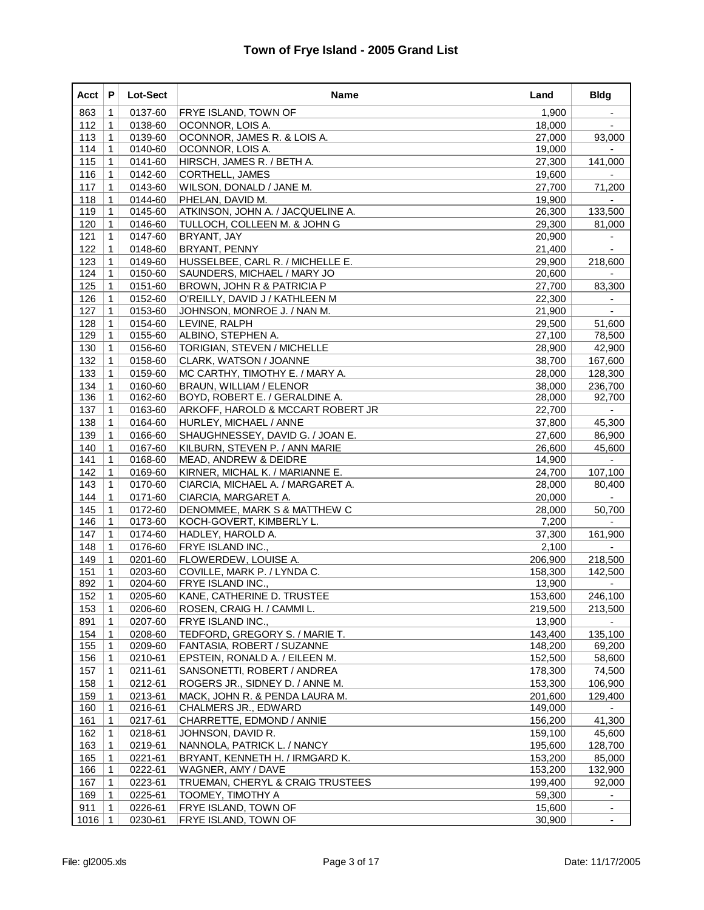| Acct | P            | <b>Lot-Sect</b> | <b>Name</b>                        | Land    | <b>Bldg</b>              |
|------|--------------|-----------------|------------------------------------|---------|--------------------------|
| 863  | 1            | 0137-60         | FRYE ISLAND, TOWN OF               | 1,900   | $\blacksquare$           |
| 112  | 1            | 0138-60         | OCONNOR, LOIS A.                   | 18,000  |                          |
| 113  | 1            | 0139-60         | OCONNOR, JAMES R. & LOIS A.        | 27,000  | 93,000                   |
| 114  | 1            | 0140-60         | OCONNOR, LOIS A.                   | 19,000  |                          |
| 115  | 1            | 0141-60         | HIRSCH, JAMES R. / BETH A.         | 27,300  | 141,000                  |
| 116  | $\mathbf 1$  | 0142-60         | <b>CORTHELL, JAMES</b>             | 19,600  |                          |
| 117  | 1            | 0143-60         | WILSON, DONALD / JANE M.           | 27,700  | 71,200                   |
| 118  | 1            | 0144-60         | PHELAN, DAVID M.                   | 19,900  |                          |
| 119  | 1            | 0145-60         | ATKINSON, JOHN A. / JACQUELINE A.  | 26,300  | 133,500                  |
| 120  | 1            | 0146-60         | TULLOCH, COLLEEN M. & JOHN G       | 29,300  | 81,000                   |
| 121  | $\mathbf 1$  | 0147-60         | <b>BRYANT, JAY</b>                 | 20,900  | $\overline{\phantom{a}}$ |
| 122  | 1            | 0148-60         | <b>BRYANT, PENNY</b>               | 21,400  |                          |
| 123  | 1            | 0149-60         | HUSSELBEE, CARL R. / MICHELLE E.   | 29,900  | 218,600                  |
| 124  | $\mathbf{1}$ | 0150-60         | SAUNDERS, MICHAEL / MARY JO        | 20,600  |                          |
| 125  | 1            | 0151-60         | BROWN, JOHN R & PATRICIA P         | 27,700  | 83,300                   |
| 126  | $\mathbf 1$  | 0152-60         | O'REILLY, DAVID J / KATHLEEN M     | 22,300  |                          |
| 127  | 1            | 0153-60         | JOHNSON, MONROE J. / NAN M.        | 21,900  |                          |
| 128  | 1            | 0154-60         | LEVINE, RALPH                      | 29,500  | 51,600                   |
| 129  | $\mathbf{1}$ | 0155-60         | ALBINO, STEPHEN A.                 | 27,100  | 78,500                   |
| 130  | 1            | 0156-60         | <b>TORIGIAN, STEVEN / MICHELLE</b> | 28,900  | 42,900                   |
| 132  | $\mathbf{1}$ | 0158-60         | CLARK, WATSON / JOANNE             | 38,700  | 167,600                  |
| 133  | 1            | 0159-60         | MC CARTHY, TIMOTHY E. / MARY A.    | 28,000  | 128,300                  |
| 134  | 1            | 0160-60         | <b>BRAUN, WILLIAM / ELENOR</b>     | 38,000  | 236,700                  |
| 136  | 1            | 0162-60         | BOYD, ROBERT E. / GERALDINE A.     | 28,000  | 92,700                   |
| 137  | 1            | 0163-60         | ARKOFF, HAROLD & MCCART ROBERT JR  | 22,700  |                          |
| 138  | $\mathbf 1$  | 0164-60         | HURLEY, MICHAEL / ANNE             | 37,800  | 45,300                   |
| 139  | 1            | 0166-60         | SHAUGHNESSEY, DAVID G. / JOAN E.   | 27,600  | 86,900                   |
| 140  | 1            | 0167-60         | KILBURN, STEVEN P. / ANN MARIE     | 26,600  | 45,600                   |
| 141  | 1            | 0168-60         | MEAD, ANDREW & DEIDRE              | 14,900  |                          |
| 142  | 1            | 0169-60         | KIRNER, MICHAL K. / MARIANNE E.    | 24,700  | 107,100                  |
| 143  | $\mathbf 1$  | 0170-60         | CIARCIA, MICHAEL A. / MARGARET A.  | 28,000  | 80,400                   |
| 144  | 1            | 0171-60         | CIARCIA, MARGARET A.               | 20,000  |                          |
| 145  | 1            | 0172-60         | DENOMMEE, MARK S & MATTHEW C       | 28,000  | 50,700                   |
| 146  | $\mathbf{1}$ | 0173-60         | KOCH-GOVERT, KIMBERLY L.           | 7,200   |                          |
| 147  | 1            | 0174-60         | HADLEY, HAROLD A.                  | 37,300  | 161,900                  |
| 148  | $\mathbf 1$  | 0176-60         | FRYE ISLAND INC.,                  | 2,100   |                          |
| 149  | 1            | 0201-60         | FLOWERDEW, LOUISE A.               | 206,900 | 218,500                  |
| 151  | 1            | 0203-60         | COVILLE, MARK P. / LYNDA C.        | 158,300 | 142,500                  |
| 892  | 1            | 0204-60         | FRYE ISLAND INC.,                  | 13,900  |                          |
| 152  | $\mathbf 1$  | 0205-60         | KANE, CATHERINE D. TRUSTEE         | 153,600 | 246,100                  |
| 153  | $\mathbf 1$  | 0206-60         | ROSEN, CRAIG H. / CAMMI L.         | 219,500 | 213,500                  |
| 891  | 1            | 0207-60         | <b>FRYE ISLAND INC.,</b>           | 13,900  |                          |
| 154  | 1            | 0208-60         | TEDFORD, GREGORY S. / MARIE T.     | 143,400 | 135,100                  |
| 155  | 1            | 0209-60         | FANTASIA, ROBERT / SUZANNE         | 148,200 | 69,200                   |
| 156  | 1            | 0210-61         | EPSTEIN, RONALD A. / EILEEN M.     | 152,500 | 58,600                   |
| 157  | 1            | 0211-61         | SANSONETTI, ROBERT / ANDREA        | 178,300 | 74,500                   |
| 158  | 1            | 0212-61         | ROGERS JR., SIDNEY D. / ANNE M.    | 153,300 | 106,900                  |
| 159  | 1            | 0213-61         | MACK, JOHN R. & PENDA LAURA M.     | 201,600 | 129,400                  |
| 160  | 1            | 0216-61         | CHALMERS JR., EDWARD               | 149,000 |                          |
| 161  | 1            | 0217-61         | CHARRETTE, EDMOND / ANNIE          | 156,200 | 41,300                   |
| 162  | 1            | 0218-61         | JOHNSON, DAVID R.                  | 159,100 | 45,600                   |
| 163  | 1            | 0219-61         | NANNOLA, PATRICK L. / NANCY        | 195,600 | 128,700                  |
| 165  | 1            | 0221-61         | BRYANT, KENNETH H. / IRMGARD K.    | 153,200 | 85,000                   |
| 166  | 1            | 0222-61         | WAGNER, AMY / DAVE                 | 153,200 | 132,900                  |
| 167  | $\mathbf 1$  | 0223-61         | TRUEMAN, CHERYL & CRAIG TRUSTEES   | 199,400 | 92,000                   |
| 169  | $\mathbf 1$  | 0225-61         | TOOMEY, TIMOTHY A                  | 59,300  | $\blacksquare$           |
| 911  | 1            | 0226-61         | FRYE ISLAND, TOWN OF               | 15,600  |                          |
|      |              |                 |                                    |         | $\blacksquare$           |
| 1016 | 1            | 0230-61         | FRYE ISLAND, TOWN OF               | 30,900  | $\overline{\phantom{a}}$ |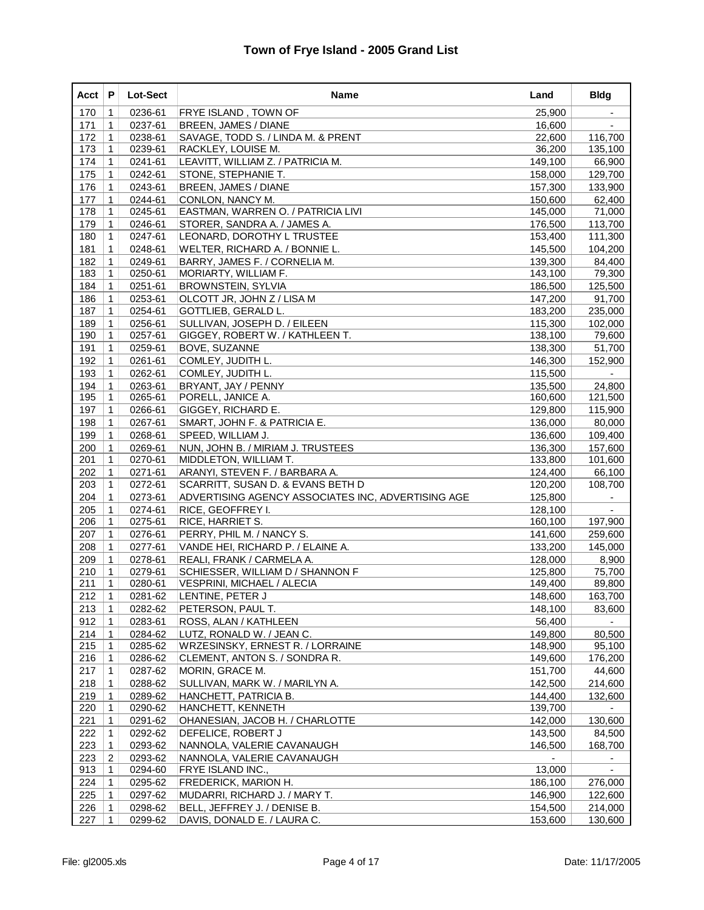| Acct | P              | <b>Lot-Sect</b> | Name                                               | Land    | <b>Bldg</b> |
|------|----------------|-----------------|----------------------------------------------------|---------|-------------|
| 170  | 1              | 0236-61         | <b>FRYE ISLAND, TOWN OF</b>                        | 25,900  |             |
| 171  | 1              | 0237-61         | BREEN, JAMES / DIANE                               | 16,600  |             |
| 172  | 1              | 0238-61         | SAVAGE, TODD S. / LINDA M. & PRENT                 | 22,600  | 116,700     |
| 173  | 1              | 0239-61         | RACKLEY, LOUISE M.                                 | 36,200  | 135,100     |
| 174  | $\mathbf 1$    | 0241-61         | LEAVITT, WILLIAM Z. / PATRICIA M.                  | 149,100 | 66,900      |
| 175  | $\mathbf{1}$   | 0242-61         | STONE, STEPHANIE T.                                | 158,000 | 129,700     |
| 176  | 1              | 0243-61         | BREEN, JAMES / DIANE                               | 157,300 | 133,900     |
| 177  | $\mathbf{1}$   | 0244-61         | CONLON, NANCY M.                                   | 150,600 | 62,400      |
| 178  | 1              | 0245-61         | EASTMAN, WARREN O. / PATRICIA LIVI                 | 145,000 | 71,000      |
| 179  | $\mathbf 1$    | 0246-61         | STORER, SANDRA A. / JAMES A.                       | 176,500 | 113,700     |
| 180  | $\mathbf 1$    | 0247-61         | LEONARD, DOROTHY L TRUSTEE                         | 153,400 | 111,300     |
| 181  | 1              | 0248-61         | WELTER, RICHARD A. / BONNIE L.                     | 145,500 | 104,200     |
| 182  | 1              | 0249-61         | BARRY, JAMES F. / CORNELIA M.                      | 139,300 | 84,400      |
| 183  | 1              | 0250-61         | MORIARTY, WILLIAM F.                               | 143,100 | 79,300      |
| 184  | $\mathbf 1$    | 0251-61         | <b>BROWNSTEIN, SYLVIA</b>                          | 186,500 | 125,500     |
| 186  | $\mathbf 1$    | 0253-61         | OLCOTT JR, JOHN Z / LISA M                         | 147,200 | 91,700      |
| 187  | 1              | 0254-61         | GOTTLIEB, GERALD L.                                | 183,200 | 235,000     |
| 189  | $\mathbf{1}$   | 0256-61         | SULLIVAN, JOSEPH D. / EILEEN                       | 115,300 | 102,000     |
| 190  | 1              | 0257-61         | GIGGEY, ROBERT W. / KATHLEEN T.                    | 138,100 | 79,600      |
| 191  | 1              | 0259-61         | <b>BOVE, SUZANNE</b>                               | 138,300 | 51,700      |
| 192  | $\mathbf{1}$   | 0261-61         | COMLEY, JUDITH L.                                  | 146,300 | 152,900     |
| 193  | 1              | 0262-61         | COMLEY, JUDITH L.                                  | 115,500 |             |
| 194  | 1              | 0263-61         | BRYANT, JAY / PENNY                                | 135,500 | 24,800      |
| 195  | 1              | 0265-61         | PORELL, JANICE A.                                  | 160,600 | 121,500     |
| 197  | 1              | 0266-61         | GIGGEY, RICHARD E.                                 | 129,800 | 115,900     |
| 198  | 1              | 0267-61         | SMART, JOHN F. & PATRICIA E.                       | 136,000 | 80,000      |
| 199  | 1              | 0268-61         | SPEED, WILLIAM J.                                  | 136,600 | 109,400     |
| 200  | $\mathbf{1}$   | 0269-61         | NUN, JOHN B. / MIRIAM J. TRUSTEES                  | 136,300 | 157,600     |
| 201  | 1              | 0270-61         | MIDDLETON, WILLIAM T.                              | 133,800 | 101,600     |
| 202  | $\mathbf{1}$   | 0271-61         | ARANYI, STEVEN F. / BARBARA A.                     | 124,400 | 66,100      |
| 203  | $\mathbf{1}$   | 0272-61         | SCARRITT, SUSAN D. & EVANS BETH D                  | 120,200 | 108,700     |
| 204  | 1              | 0273-61         | ADVERTISING AGENCY ASSOCIATES INC, ADVERTISING AGE | 125,800 |             |
| 205  | $\mathbf{1}$   | 0274-61         | RICE, GEOFFREY I.                                  | 128,100 |             |
| 206  | 1              | 0275-61         | RICE, HARRIET S.                                   | 160,100 | 197,900     |
| 207  | $\mathbf 1$    | 0276-61         | PERRY, PHIL M. / NANCY S.                          | 141,600 | 259,600     |
| 208  | $\mathbf 1$    | 0277-61         | VANDE HEI, RICHARD P. / ELAINE A.                  | 133,200 | 145,000     |
| 209  | 1              | 0278-61         | REALI, FRANK / CARMELA A.                          | 128,000 | 8,900       |
| 210  | $\mathbf{1}$   | 0279-61         | SCHIESSER, WILLIAM D / SHANNON F                   | 125,800 | 75,700      |
| 211  | 1              | 0280-61         | VESPRINI, MICHAEL / ALECIA                         | 149,400 | 89,800      |
| 212  | $\mathbf 1$    | 0281-62         | LENTINE, PETER J                                   | 148,600 | 163,700     |
| 213  | $\mathbf{1}$   | 0282-62         | PETERSON, PAUL T.                                  | 148,100 | 83,600      |
| 912  | $\mathbf 1$    | 0283-61         | ROSS, ALAN / KATHLEEN                              | 56,400  |             |
| 214  | $\mathbf{1}$   | 0284-62         | LUTZ, RONALD W. / JEAN C.                          | 149,800 | 80,500      |
| 215  | $\mathbf 1$    | 0285-62         | WRZESINSKY, ERNEST R. / LORRAINE                   | 148,900 | 95,100      |
| 216  | $\mathbf 1$    | 0286-62         | CLEMENT, ANTON S. / SONDRA R.                      | 149,600 | 176,200     |
| 217  | $\mathbf 1$    | 0287-62         | MORIN, GRACE M.                                    | 151,700 | 44,600      |
| 218  | $\mathbf 1$    | 0288-62         | SULLIVAN, MARK W. / MARILYN A.                     | 142,500 | 214,600     |
| 219  | 1              | 0289-62         | HANCHETT, PATRICIA B.                              | 144,400 | 132,600     |
| 220  | $\mathbf 1$    | 0290-62         | HANCHETT, KENNETH                                  | 139,700 |             |
| 221  | 1              | 0291-62         | OHANESIAN, JACOB H. / CHARLOTTE                    | 142,000 | 130,600     |
| 222  | $\mathbf 1$    | 0292-62         | DEFELICE, ROBERT J                                 | 143,500 | 84,500      |
| 223  | 1              | 0293-62         | NANNOLA, VALERIE CAVANAUGH                         | 146,500 | 168,700     |
| 223  | $\overline{c}$ | 0293-62         | NANNOLA, VALERIE CAVANAUGH                         |         |             |
| 913  | $\mathbf 1$    | 0294-60         | FRYE ISLAND INC.,                                  | 13,000  |             |
| 224  | 1              | 0295-62         | <b>FREDERICK, MARION H.</b>                        | 186,100 | 276,000     |
| 225  | $\mathbf 1$    | 0297-62         | MUDARRI, RICHARD J. / MARY T.                      | 146,900 | 122,600     |
| 226  | 1              | 0298-62         | BELL, JEFFREY J. / DENISE B.                       | 154,500 | 214,000     |
| 227  | 1              | 0299-62         | DAVIS, DONALD E. / LAURA C.                        | 153,600 | 130,600     |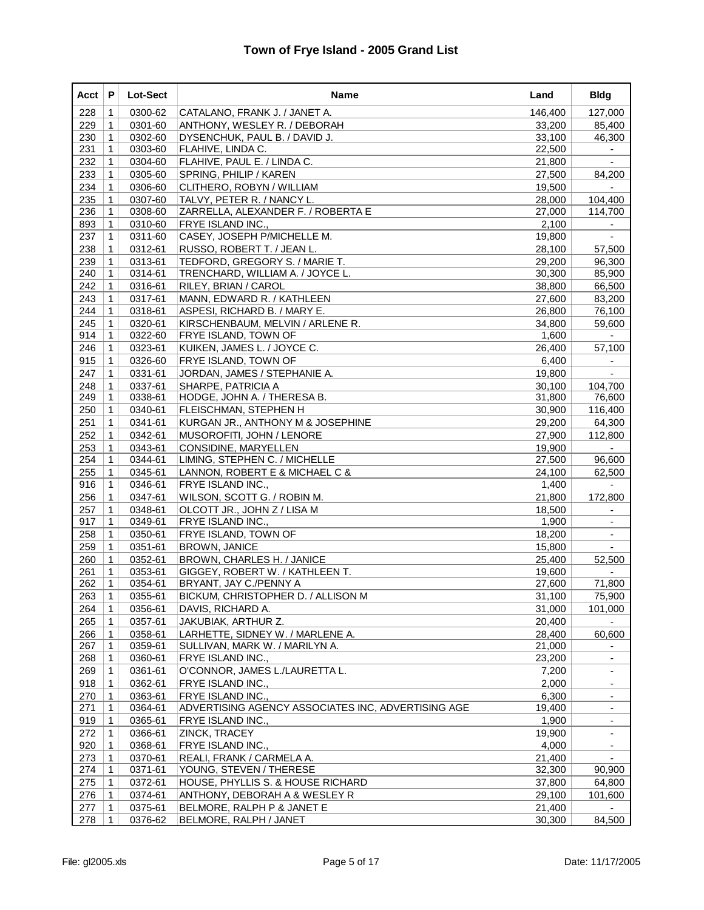| Acct | P              | Lot-Sect | Name                                               | Land    | <b>Bldg</b>              |
|------|----------------|----------|----------------------------------------------------|---------|--------------------------|
| 228  | 1              | 0300-62  | CATALANO, FRANK J. / JANET A.                      | 146,400 | 127,000                  |
| 229  | 1              | 0301-60  | ANTHONY, WESLEY R. / DEBORAH                       | 33,200  | 85,400                   |
| 230  | $\mathbf{1}$   | 0302-60  | DYSENCHUK, PAUL B. / DAVID J.                      | 33,100  | 46,300                   |
| 231  | 1              | 0303-60  | FLAHIVE, LINDA C.                                  | 22,500  |                          |
| 232  | $\mathbf 1$    | 0304-60  | FLAHIVE, PAUL E. / LINDA C.                        | 21,800  | $\blacksquare$           |
| 233  | 1              | 0305-60  | SPRING, PHILIP / KAREN                             | 27,500  | 84,200                   |
| 234  | 1              | 0306-60  | CLITHERO, ROBYN / WILLIAM                          | 19,500  |                          |
| 235  | $\mathbf{1}$   | 0307-60  | TALVY, PETER R. / NANCY L.                         | 28,000  | 104,400                  |
| 236  | 1              | 0308-60  | ZARRELLA, ALEXANDER F. / ROBERTA E                 | 27,000  | 114,700                  |
| 893  | $\mathbf 1$    | 0310-60  | <b>FRYE ISLAND INC.,</b>                           | 2,100   | $\overline{\phantom{a}}$ |
| 237  | $\mathbf 1$    | 0311-60  | CASEY, JOSEPH P/MICHELLE M.                        | 19,800  |                          |
| 238  | 1              | 0312-61  | RUSSO, ROBERT T. / JEAN L.                         | 28,100  | 57,500                   |
| 239  | $\mathbf{1}$   | 0313-61  | TEDFORD, GREGORY S. / MARIE T.                     | 29,200  | 96,300                   |
| 240  | 1              | 0314-61  | TRENCHARD, WILLIAM A. / JOYCE L.                   | 30,300  | 85,900                   |
| 242  | $\mathbf 1$    | 0316-61  | RILEY, BRIAN / CAROL                               | 38,800  | 66,500                   |
| 243  | 1              | 0317-61  | MANN, EDWARD R. / KATHLEEN                         | 27,600  | 83,200                   |
| 244  | 1              | 0318-61  | ASPESI, RICHARD B. / MARY E.                       | 26,800  | 76,100                   |
| 245  | $\mathbf{1}$   | 0320-61  | KIRSCHENBAUM, MELVIN / ARLENE R.                   | 34,800  | 59,600                   |
| 914  | 1              | 0322-60  | <b>FRYE ISLAND, TOWN OF</b>                        | 1,600   |                          |
| 246  | $\mathbf 1$    | 0323-61  | KUIKEN, JAMES L. / JOYCE C.                        | 26,400  | 57,100                   |
| 915  | 1              | 0326-60  | <b>FRYE ISLAND, TOWN OF</b>                        | 6,400   |                          |
| 247  | 1              | 0331-61  | JORDAN, JAMES / STEPHANIE A.                       | 19,800  |                          |
| 248  | 1              | 0337-61  | SHARPE, PATRICIA A                                 | 30,100  | 104,700                  |
| 249  | $\mathbf{1}$   | 0338-61  | HODGE, JOHN A. / THERESA B.                        | 31,800  | 76,600                   |
| 250  | $\mathbf 1$    | 0340-61  | FLEISCHMAN, STEPHEN H                              | 30,900  | 116,400                  |
| 251  | 1              | 0341-61  | KURGAN JR., ANTHONY M & JOSEPHINE                  | 29,200  | 64,300                   |
| 252  | 1              | 0342-61  | MUSOROFITI, JOHN / LENORE                          | 27,900  | 112,800                  |
| 253  | $\mathbf{1}$   | 0343-61  | CONSIDINE, MARYELLEN                               | 19,900  |                          |
| 254  | 1              | 0344-61  | LIMING, STEPHEN C. / MICHELLE                      | 27,500  | 96,600                   |
| 255  | $\mathbf 1$    | 0345-61  | LANNON, ROBERT E & MICHAEL C &                     | 24,100  | 62,500                   |
| 916  | 1              | 0346-61  | FRYE ISLAND INC.,                                  | 1,400   |                          |
| 256  | 1              | 0347-61  | WILSON, SCOTT G. / ROBIN M.                        | 21,800  | 172,800                  |
| 257  | 1              | 0348-61  | OLCOTT JR., JOHN Z / LISA M                        | 18,500  | $\sim$                   |
| 917  | 1              | 0349-61  | FRYE ISLAND INC.,                                  | 1,900   |                          |
| 258  | $\mathbf 1$    | 0350-61  | FRYE ISLAND, TOWN OF                               | 18,200  | $\blacksquare$           |
| 259  | $\mathbf 1$    | 0351-61  | <b>BROWN, JANICE</b>                               | 15,800  |                          |
| 260  | $\mathbf 1$    | 0352-61  | BROWN, CHARLES H. / JANICE                         | 25,400  | 52,500                   |
| 261  | $\mathbf{1}$   | 0353-61  | GIGGEY, ROBERT W. / KATHLEEN T.                    | 19,600  |                          |
| 262  | 1              | 0354-61  | BRYANT, JAY C./PENNY A                             | 27,600  | 71,800                   |
| 263  | $\overline{1}$ | 0355-61  | BICKUM, CHRISTOPHER D. / ALLISON M                 | 31,100  | 75,900                   |
| 264  | $\mathbf 1$    | 0356-61  | DAVIS, RICHARD A.                                  | 31,000  | 101,000                  |
| 265  | $\mathbf 1$    | 0357-61  | JAKUBIAK, ARTHUR Z.                                | 20,400  |                          |
| 266  | $\mathbf 1$    | 0358-61  | LARHETTE, SIDNEY W. / MARLENE A.                   | 28,400  | 60,600                   |
| 267  | 1              | 0359-61  | SULLIVAN, MARK W. / MARILYN A.                     | 21,000  |                          |
| 268  | $\mathbf 1$    | 0360-61  | FRYE ISLAND INC.,                                  | 23,200  | $\blacksquare$           |
| 269  | $\mathbf 1$    | 0361-61  | O'CONNOR, JAMES L./LAURETTA L.                     | 7,200   | $\blacksquare$           |
| 918  | 1              | 0362-61  | FRYE ISLAND INC.,                                  | 2,000   |                          |
| 270  | $\mathbf 1$    | 0363-61  | FRYE ISLAND INC.,                                  | 6,300   |                          |
| 271  | 1              | 0364-61  | ADVERTISING AGENCY ASSOCIATES INC, ADVERTISING AGE | 19,400  |                          |
| 919  | 1              | 0365-61  | FRYE ISLAND INC.,                                  | 1,900   | $\blacksquare$           |
| 272  | 1              | 0366-61  | <b>ZINCK, TRACEY</b>                               | 19,900  | ٠                        |
| 920  | 1              | 0368-61  | FRYE ISLAND INC.,                                  | 4,000   |                          |
| 273  | 1              | 0370-61  | REALI, FRANK / CARMELA A.                          | 21,400  |                          |
| 274  | 1              | 0371-61  | YOUNG, STEVEN / THERESE                            | 32,300  | 90,900                   |
| 275  | $\mathbf 1$    | 0372-61  | HOUSE, PHYLLIS S. & HOUSE RICHARD                  | 37,800  | 64,800                   |
| 276  | 1              | 0374-61  | ANTHONY, DEBORAH A & WESLEY R                      | 29,100  | 101,600                  |
| 277  | $\mathbf 1$    | 0375-61  | BELMORE, RALPH P & JANET E                         | 21,400  |                          |
| 278  | $\mathbf 1$    | 0376-62  | BELMORE, RALPH / JANET                             | 30,300  | 84,500                   |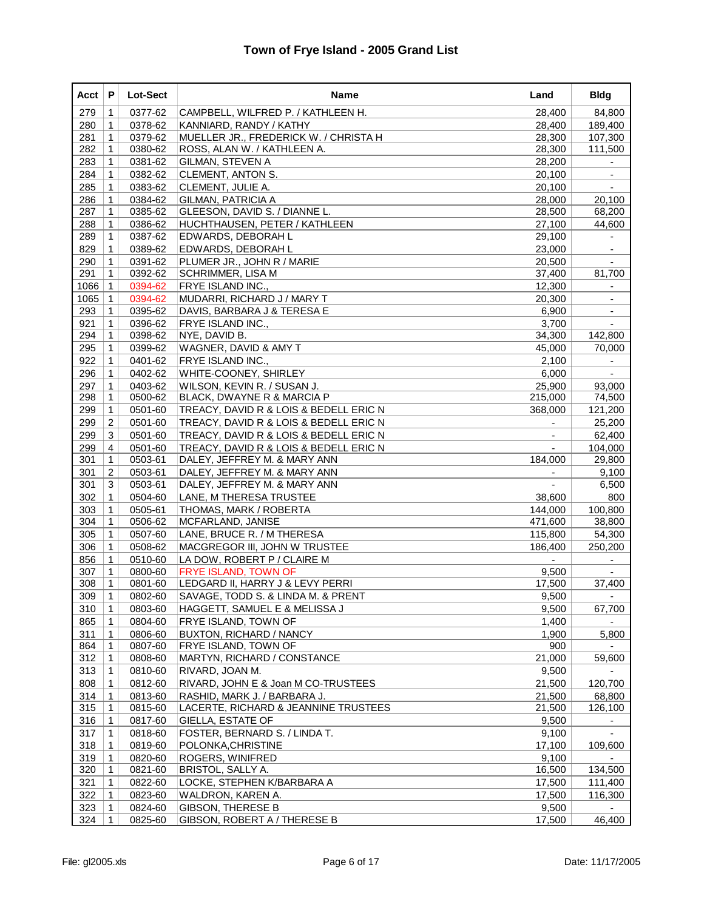| Acct | P              | Lot-Sect | Name                                   | Land                     | <b>Bldg</b>              |
|------|----------------|----------|----------------------------------------|--------------------------|--------------------------|
| 279  | 1              | 0377-62  | CAMPBELL, WILFRED P. / KATHLEEN H.     | 28,400                   | 84,800                   |
| 280  | 1              | 0378-62  | KANNIARD, RANDY / KATHY                | 28,400                   | 189,400                  |
| 281  | 1              | 0379-62  | MUELLER JR., FREDERICK W. / CHRISTA H  | 28,300                   | 107,300                  |
| 282  | 1              | 0380-62  | ROSS, ALAN W. / KATHLEEN A.            | 28,300                   | 111,500                  |
| 283  | $\mathbf 1$    | 0381-62  | GILMAN, STEVEN A                       | 28,200                   |                          |
| 284  | $\mathbf{1}$   | 0382-62  | CLEMENT, ANTON S.                      | 20,100                   | $\overline{\phantom{a}}$ |
| 285  | 1              | 0383-62  | CLEMENT, JULIE A.                      | 20,100                   |                          |
| 286  | $\mathbf{1}$   | 0384-62  | <b>GILMAN, PATRICIA A</b>              | 28,000                   | 20,100                   |
| 287  | 1              | 0385-62  | GLEESON, DAVID S. / DIANNE L.          | 28,500                   | 68,200                   |
| 288  | $\mathbf{1}$   | 0386-62  | HUCHTHAUSEN, PETER / KATHLEEN          | 27,100                   | 44,600                   |
| 289  | $\mathbf 1$    | 0387-62  | EDWARDS, DEBORAH L                     | 29,100                   | $\overline{\phantom{a}}$ |
| 829  | 1              | 0389-62  | EDWARDS, DEBORAH L                     | 23,000                   |                          |
| 290  | $\mathbf{1}$   | 0391-62  | PLUMER JR., JOHN R / MARIE             | 20,500                   | $\blacksquare$           |
| 291  | 1              | 0392-62  | <b>SCHRIMMER, LISA M</b>               | 37,400                   | 81,700                   |
| 1066 | $\mathbf{1}$   | 0394-62  | FRYE ISLAND INC.,                      | 12,300                   | $\overline{\phantom{a}}$ |
| 1065 | $\mathbf 1$    | 0394-62  | MUDARRI, RICHARD J / MARY T            | 20,300                   | $\overline{\phantom{a}}$ |
| 293  | 1              | 0395-62  | DAVIS, BARBARA J & TERESA E            | 6,900                    |                          |
| 921  | $\mathbf{1}$   | 0396-62  | <b>FRYE ISLAND INC.,</b>               | 3,700                    |                          |
| 294  | 1              | 0398-62  | NYE, DAVID B.                          | 34,300                   | 142,800                  |
| 295  | 1              | 0399-62  | WAGNER, DAVID & AMY T                  | 45,000                   | 70,000                   |
| 922  | $\mathbf 1$    | 0401-62  | <b>FRYE ISLAND INC.,</b>               | 2,100                    | $\overline{\phantom{a}}$ |
| 296  | 1              | 0402-62  | <b>WHITE-COONEY, SHIRLEY</b>           | 6,000                    |                          |
| 297  | 1              | 0403-62  | WILSON, KEVIN R. / SUSAN J.            | 25,900                   | 93,000                   |
| 298  | 1              | 0500-62  | BLACK, DWAYNE R & MARCIA P             | 215,000                  | 74,500                   |
| 299  | $\mathbf 1$    | 0501-60  | TREACY, DAVID R & LOIS & BEDELL ERIC N | 368,000                  | 121,200                  |
| 299  | $\overline{c}$ | 0501-60  | TREACY, DAVID R & LOIS & BEDELL ERIC N |                          | 25,200                   |
| 299  | 3              | 0501-60  | TREACY, DAVID R & LOIS & BEDELL ERIC N |                          | 62,400                   |
| 299  | $\overline{4}$ | 0501-60  | TREACY, DAVID R & LOIS & BEDELL ERIC N |                          | 104,000                  |
| 301  | 1              | 0503-61  | DALEY, JEFFREY M. & MARY ANN           | 184,000                  | 29,800                   |
| 301  | $\overline{2}$ | 0503-61  | DALEY, JEFFREY M. & MARY ANN           | $\blacksquare$           | 9,100                    |
| 301  | 3              | 0503-61  | DALEY, JEFFREY M. & MARY ANN           | $\overline{\phantom{a}}$ | 6,500                    |
| 302  | 1              | 0504-60  | LANE, M THERESA TRUSTEE                | 38,600                   | 800                      |
| 303  | 1              | 0505-61  | THOMAS, MARK / ROBERTA                 | 144,000                  | 100,800                  |
| 304  | 1              | 0506-62  | MCFARLAND, JANISE                      | 471,600                  | 38,800                   |
| 305  | $\mathbf 1$    | 0507-60  | LANE, BRUCE R. / M THERESA             | 115,800                  | 54,300                   |
| 306  | $\mathbf 1$    | 0508-62  | <b>MACGREGOR III, JOHN W TRUSTEE</b>   | 186,400                  | 250,200                  |
| 856  | 1              | 0510-60  | LA DOW. ROBERT P / CLAIRE M            |                          |                          |
| 307  | 1              | 0800-60  | FRYE ISLAND, TOWN OF                   | 9,500                    |                          |
| 308  | 1              | 0801-60  | LEDGARD II, HARRY J & LEVY PERRI       | 17,500                   | 37,400                   |
| 309  | $\mathbf 1$    | 0802-60  | SAVAGE, TODD S. & LINDA M. & PRENT     | 9,500                    |                          |
| 310  | $\mathbf{1}$   | 0803-60  | HAGGETT, SAMUEL E & MELISSA J          | 9,500                    | 67,700                   |
| 865  | 1              | 0804-60  | FRYE ISLAND, TOWN OF                   | 1,400                    |                          |
| 311  | $\mathbf{1}$   | 0806-60  | BUXTON, RICHARD / NANCY                | 1,900                    | 5,800                    |
| 864  | $\mathbf 1$    | 0807-60  | <b>FRYE ISLAND, TOWN OF</b>            | 900                      |                          |
| 312  | $\mathbf 1$    | 0808-60  | MARTYN, RICHARD / CONSTANCE            | 21,000                   | 59,600                   |
| 313  | 1              | 0810-60  | RIVARD, JOAN M.                        | 9,500                    |                          |
| 808  | 1              | 0812-60  | RIVARD, JOHN E & Joan M CO-TRUSTEES    | 21,500                   | 120,700                  |
| 314  | 1              | 0813-60  | RASHID, MARK J. / BARBARA J.           | 21,500                   | 68,800                   |
| 315  | $\mathbf 1$    | 0815-60  | LACERTE, RICHARD & JEANNINE TRUSTEES   | 21,500                   | 126,100                  |
| 316  | $\mathbf 1$    | 0817-60  | <b>GIELLA, ESTATE OF</b>               | 9,500                    |                          |
| 317  | $\mathbf 1$    | 0818-60  | FOSTER, BERNARD S. / LINDA T.          | 9,100                    |                          |
| 318  | 1              | 0819-60  | POLONKA, CHRISTINE                     | 17,100                   | 109,600                  |
| 319  | 1              | 0820-60  | ROGERS, WINIFRED                       | 9,100                    |                          |
| 320  | $\mathbf 1$    | 0821-60  | <b>BRISTOL, SALLY A.</b>               | 16,500                   | 134,500                  |
| 321  | 1              | 0822-60  | LOCKE, STEPHEN K/BARBARA A             | 17,500                   | 111,400                  |
| 322  | $\mathbf 1$    | 0823-60  | WALDRON, KAREN A.                      | 17,500                   | 116,300                  |
| 323  | 1              | 0824-60  | <b>GIBSON, THERESE B</b>               | 9,500                    |                          |
| 324  | 1              | 0825-60  | GIBSON, ROBERT A / THERESE B           | 17,500                   | 46,400                   |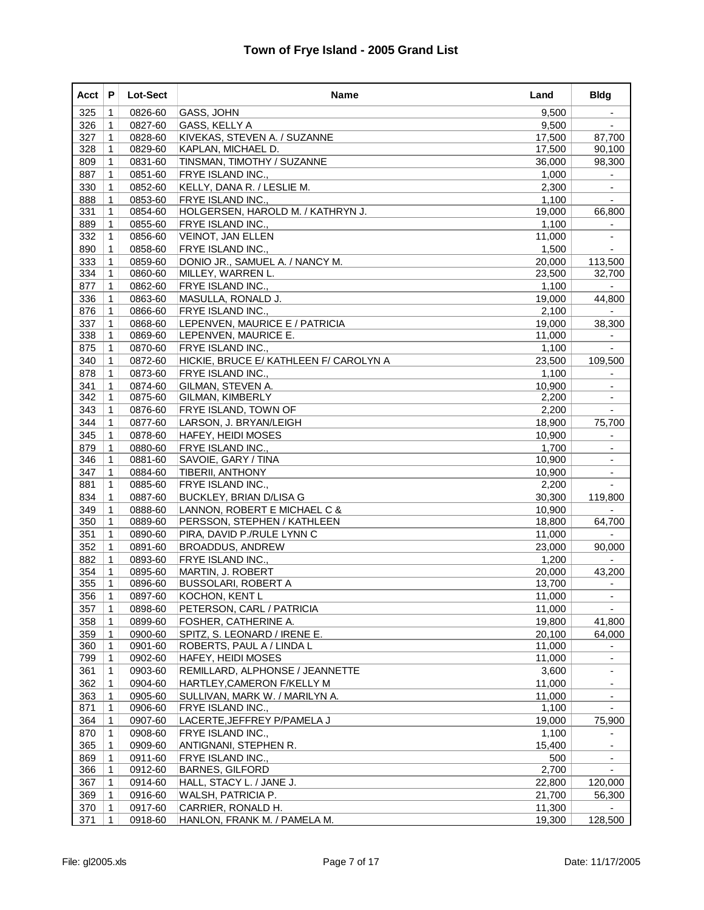| Acct | P            | Lot-Sect | Name                                   | Land   | <b>Bldg</b>              |
|------|--------------|----------|----------------------------------------|--------|--------------------------|
| 325  | 1            | 0826-60  | GASS, JOHN                             | 9,500  |                          |
| 326  | 1            | 0827-60  | GASS, KELLY A                          | 9,500  |                          |
| 327  | 1            | 0828-60  | KIVEKAS, STEVEN A. / SUZANNE           | 17,500 | 87,700                   |
| 328  | 1            | 0829-60  | KAPLAN, MICHAEL D.                     | 17,500 | 90,100                   |
| 809  | 1            | 0831-60  | TINSMAN, TIMOTHY / SUZANNE             | 36,000 | 98,300                   |
| 887  | 1            | 0851-60  | FRYE ISLAND INC.,                      | 1,000  |                          |
| 330  | 1            | 0852-60  | KELLY, DANA R. / LESLIE M.             | 2,300  |                          |
| 888  | 1            | 0853-60  | <b>FRYE ISLAND INC.,</b>               | 1,100  |                          |
| 331  | 1            | 0854-60  | HOLGERSEN, HAROLD M. / KATHRYN J.      | 19,000 | 66,800                   |
| 889  | 1            | 0855-60  | FRYE ISLAND INC.,                      | 1,100  | $\overline{\phantom{a}}$ |
| 332  | 1            | 0856-60  | VEINOT, JAN ELLEN                      | 11,000 |                          |
| 890  | 1            | 0858-60  | <b>FRYE ISLAND INC.,</b>               | 1,500  |                          |
| 333  | 1            | 0859-60  | DONIO JR., SAMUEL A. / NANCY M.        | 20,000 | 113,500                  |
| 334  | 1            | 0860-60  | MILLEY, WARREN L.                      | 23,500 | 32,700                   |
| 877  | $\mathbf{1}$ | 0862-60  | <b>FRYE ISLAND INC.,</b>               | 1,100  |                          |
| 336  | 1            | 0863-60  | MASULLA, RONALD J.                     | 19,000 | 44,800                   |
| 876  | 1            | 0866-60  | <b>FRYE ISLAND INC.,</b>               | 2,100  |                          |
| 337  | $\mathbf{1}$ | 0868-60  | LEPENVEN, MAURICE E / PATRICIA         | 19,000 | 38,300                   |
| 338  | 1            | 0869-60  | LEPENVEN, MAURICE E.                   | 11,000 |                          |
| 875  | $\mathbf{1}$ | 0870-60  | FRYE ISLAND INC.,                      | 1,100  | $\blacksquare$           |
| 340  | 1            | 0872-60  | HICKIE, BRUCE E/ KATHLEEN F/ CAROLYN A | 23,500 | 109,500                  |
| 878  | 1            | 0873-60  | FRYE ISLAND INC.,                      | 1,100  |                          |
| 341  | 1            | 0874-60  | GILMAN, STEVEN A.                      | 10,900 |                          |
| 342  | 1            | 0875-60  | GILMAN, KIMBERLY                       | 2,200  |                          |
| 343  | 1            | 0876-60  | <b>FRYE ISLAND, TOWN OF</b>            | 2,200  | $\blacksquare$           |
| 344  | 1            | 0877-60  | LARSON, J. BRYAN/LEIGH                 | 18,900 | 75,700                   |
| 345  | 1            | 0878-60  | <b>HAFEY, HEIDI MOSES</b>              | 10,900 |                          |
| 879  | $\mathbf{1}$ | 0880-60  | FRYE ISLAND INC.,                      | 1,700  |                          |
| 346  | 1            | 0881-60  | SAVOIE, GARY / TINA                    | 10,900 |                          |
| 347  | 1            | 0884-60  | <b>TIBERII, ANTHONY</b>                | 10,900 | $\overline{\phantom{a}}$ |
| 881  | 1            | 0885-60  | FRYE ISLAND INC.,                      | 2,200  |                          |
| 834  | 1            | 0887-60  | <b>BUCKLEY, BRIAN D/LISA G</b>         | 30,300 | 119,800                  |
| 349  | 1            | 0888-60  | LANNON, ROBERT E MICHAEL C &           | 10,900 |                          |
| 350  | 1            | 0889-60  | PERSSON, STEPHEN / KATHLEEN            | 18,800 | 64,700                   |
| 351  | 1            | 0890-60  | PIRA, DAVID P./RULE LYNN C             | 11,000 |                          |
| 352  | 1            | 0891-60  | <b>BROADDUS, ANDREW</b>                | 23,000 | 90,000                   |
| 882  | 1            | 0893-60  | <b>FRYE ISLAND INC.,</b>               | 1,200  |                          |
| 354  | 1            | 0895-60  | MARTIN, J. ROBERT                      | 20,000 | 43,200                   |
| 355  | 1            | 0896-60  | <b>BUSSOLARI, ROBERT A</b>             | 13,700 |                          |
| 356  | $\mathbf 1$  | 0897-60  | KOCHON, KENT L                         | 11,000 |                          |
| 357  | $\mathbf 1$  | 0898-60  | PETERSON, CARL / PATRICIA              | 11,000 |                          |
| 358  | 1            | 0899-60  | FOSHER, CATHERINE A.                   | 19,800 | 41,800                   |
| 359  | 1            | 0900-60  | SPITZ, S. LEONARD / IRENE E.           | 20,100 | 64,000                   |
| 360  | 1            | 0901-60  | ROBERTS, PAUL A / LINDA L              | 11,000 |                          |
| 799  | 1            | 0902-60  | <b>HAFEY, HEIDI MOSES</b>              | 11,000 | $\overline{\phantom{0}}$ |
| 361  | 1            | 0903-60  | REMILLARD, ALPHONSE / JEANNETTE        | 3,600  | ۰.                       |
| 362  | 1            | 0904-60  | HARTLEY, CAMERON F/KELLY M             | 11,000 |                          |
| 363  | $\mathbf 1$  | 0905-60  | SULLIVAN, MARK W. / MARILYN A.         | 11,000 |                          |
| 871  | 1            | 0906-60  | FRYE ISLAND INC.,                      | 1,100  |                          |
| 364  | 1            | 0907-60  | LACERTE, JEFFREY P/PAMELA J            | 19,000 | 75,900                   |
| 870  | 1            | 0908-60  | FRYE ISLAND INC.,                      | 1,100  |                          |
| 365  | 1            | 0909-60  | ANTIGNANI, STEPHEN R.                  | 15,400 |                          |
| 869  | $\mathbf 1$  | 0911-60  | FRYE ISLAND INC.,                      | 500    |                          |
| 366  | 1            | 0912-60  | <b>BARNES, GILFORD</b>                 | 2,700  |                          |
| 367  | 1            | 0914-60  | HALL, STACY L. / JANE J.               | 22,800 | 120,000                  |
| 369  | $\mathbf 1$  | 0916-60  | WALSH, PATRICIA P.                     | 21,700 | 56,300                   |
| 370  | 1            | 0917-60  | CARRIER, RONALD H.                     | 11,300 |                          |
| 371  | 1            | 0918-60  | HANLON, FRANK M. / PAMELA M.           | 19,300 | 128,500                  |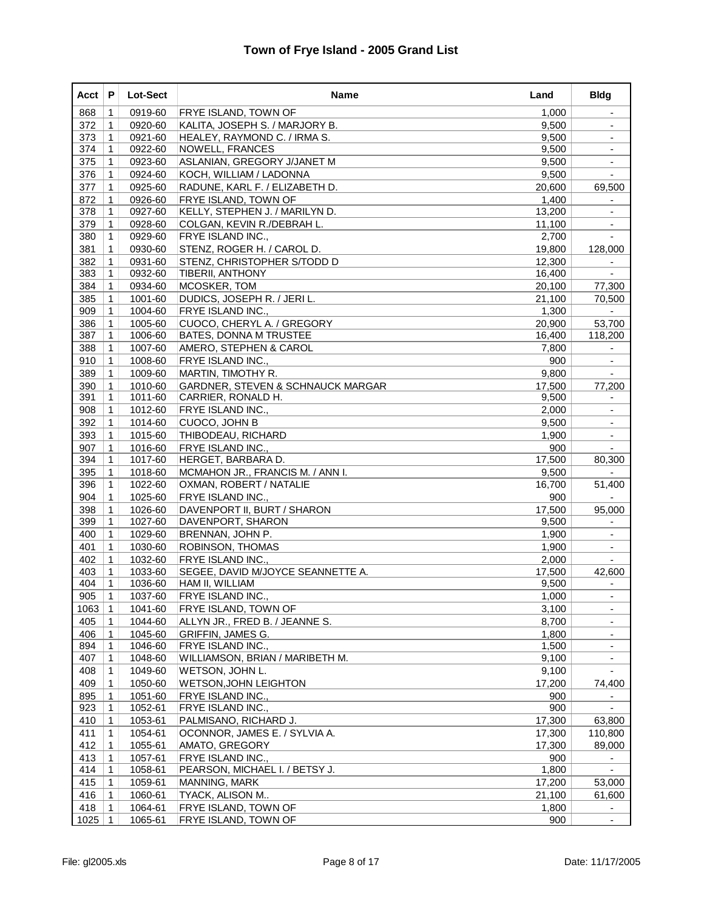| Acct | P            | <b>Lot-Sect</b> | Name                                         | Land   | <b>Bldg</b>              |
|------|--------------|-----------------|----------------------------------------------|--------|--------------------------|
| 868  | 1            | 0919-60         | <b>FRYE ISLAND, TOWN OF</b>                  | 1,000  | $\overline{\phantom{a}}$ |
| 372  | 1            | 0920-60         | KALITA, JOSEPH S. / MARJORY B.               | 9,500  |                          |
| 373  | 1            | 0921-60         | HEALEY, RAYMOND C. / IRMA S.                 | 9,500  | $\overline{\phantom{a}}$ |
| 374  | 1            | 0922-60         | <b>NOWELL, FRANCES</b>                       | 9,500  |                          |
| 375  | $\mathbf 1$  | 0923-60         | ASLANIAN, GREGORY J/JANET M                  | 9,500  | $\overline{\phantom{a}}$ |
| 376  | 1            | 0924-60         | KOCH, WILLIAM / LADONNA                      | 9,500  |                          |
| 377  | 1            | 0925-60         | RADUNE, KARL F. / ELIZABETH D.               | 20,600 | 69,500                   |
| 872  | $\mathbf{1}$ | 0926-60         | FRYE ISLAND, TOWN OF                         | 1,400  |                          |
| 378  | 1            | 0927-60         | KELLY, STEPHEN J. / MARILYN D.               | 13,200 |                          |
| 379  | $\mathbf 1$  | 0928-60         | COLGAN, KEVIN R./DEBRAH L.                   | 11,100 | $\blacksquare$           |
| 380  | 1            | 0929-60         | FRYE ISLAND INC.,                            | 2,700  |                          |
| 381  | 1            | 0930-60         | STENZ, ROGER H. / CAROL D.                   | 19,800 | 128,000                  |
| 382  | 1            | 0931-60         | STENZ, CHRISTOPHER S/TODD D                  | 12,300 |                          |
| 383  | 1            | 0932-60         | <b>TIBERII, ANTHONY</b>                      | 16,400 |                          |
| 384  | $\mathbf{1}$ | 0934-60         | MCOSKER, TOM                                 | 20,100 | 77,300                   |
| 385  | 1            | 1001-60         | DUDICS, JOSEPH R. / JERI L.                  | 21,100 | 70,500                   |
| 909  | 1            | 1004-60         | FRYE ISLAND INC.,                            | 1,300  |                          |
| 386  | $\mathbf{1}$ | 1005-60         | CUOCO, CHERYL A. / GREGORY                   | 20,900 | 53,700                   |
| 387  | 1            | 1006-60         | <b>BATES, DONNA M TRUSTEE</b>                | 16,400 | 118,200                  |
| 388  | $\mathbf 1$  | 1007-60         | AMERO, STEPHEN & CAROL                       | 7,800  | $\blacksquare$           |
| 910  | 1            | 1008-60         | FRYE ISLAND INC.,                            | 900    | ۳                        |
| 389  | 1            | 1009-60         | MARTIN, TIMOTHY R.                           | 9,800  |                          |
| 390  | 1            | 1010-60         | <b>GARDNER, STEVEN &amp; SCHNAUCK MARGAR</b> | 17,500 | 77,200                   |
| 391  | 1            | 1011-60         | CARRIER, RONALD H.                           | 9,500  |                          |
| 908  | $\mathbf{1}$ | 1012-60         | FRYE ISLAND INC.,                            | 2,000  | $\blacksquare$           |
| 392  | 1            | 1014-60         | CUOCO, JOHN B                                | 9,500  | ۰                        |
| 393  | 1            | 1015-60         | THIBODEAU, RICHARD                           | 1,900  | $\overline{\phantom{a}}$ |
| 907  | $\mathbf{1}$ | 1016-60         | FRYE ISLAND INC.,                            | 900    |                          |
| 394  | 1            | 1017-60         | HERGET, BARBARA D.                           | 17,500 | 80,300                   |
| 395  | $\mathbf{1}$ | 1018-60         | MCMAHON JR., FRANCIS M. / ANN I.             | 9,500  | $\mathbf{r}$             |
| 396  | 1            | 1022-60         | OXMAN, ROBERT / NATALIE                      | 16,700 | 51,400                   |
| 904  | 1            | 1025-60         | FRYE ISLAND INC.,                            | 900    |                          |
| 398  | 1            | 1026-60         | DAVENPORT II, BURT / SHARON                  | 17,500 | 95,000                   |
| 399  | 1            | 1027-60         | DAVENPORT, SHARON                            | 9,500  |                          |
| 400  | $\mathbf 1$  | 1029-60         | BRENNAN, JOHN P.                             | 1,900  | $\blacksquare$           |
| 401  | 1            | 1030-60         | ROBINSON, THOMAS                             | 1,900  | $\overline{\phantom{a}}$ |
| 402  | $\mathbf 1$  | 1032-60         | <b>FRYE ISLAND INC.,</b>                     | 2,000  |                          |
| 403  | $\mathbf{1}$ | 1033-60         | SEGEE, DAVID M/JOYCE SEANNETTE A.            | 17,500 | 42,600                   |
| 404  | $\mathbf{1}$ | 1036-60         | HAM II, WILLIAM                              | 9,500  |                          |
| 905  | $\mathbf{1}$ | 1037-60         | FRYE ISLAND INC.,                            | 1,000  |                          |
| 1063 | $\mathbf{1}$ | 1041-60         | <b>FRYE ISLAND, TOWN OF</b>                  | 3,100  | ۰                        |
| 405  | $\mathbf 1$  | 1044-60         | ALLYN JR., FRED B. / JEANNE S.               | 8,700  |                          |
| 406  | $\mathbf 1$  | 1045-60         | <b>GRIFFIN, JAMES G.</b>                     | 1,800  |                          |
| 894  | 1            | 1046-60         | FRYE ISLAND INC.,                            | 1,500  |                          |
| 407  | 1            | 1048-60         | WILLIAMSON, BRIAN / MARIBETH M.              | 9,100  | $\overline{\phantom{a}}$ |
| 408  | 1            | 1049-60         | WETSON, JOHN L.                              | 9,100  |                          |
| 409  | 1            | 1050-60         | <b>WETSON, JOHN LEIGHTON</b>                 | 17,200 | 74,400                   |
| 895  | 1            | 1051-60         | FRYE ISLAND INC.,                            | 900    |                          |
| 923  | 1            | 1052-61         | FRYE ISLAND INC.,                            | 900    |                          |
| 410  | 1            | 1053-61         | PALMISANO, RICHARD J.                        | 17,300 | 63,800                   |
| 411  | 1            | 1054-61         | OCONNOR, JAMES E. / SYLVIA A.                | 17,300 | 110,800                  |
| 412  | 1            | 1055-61         | AMATO, GREGORY                               | 17,300 | 89,000                   |
| 413  | 1            | 1057-61         | FRYE ISLAND INC.,                            | 900    |                          |
| 414  | 1            | 1058-61         | PEARSON, MICHAEL I. / BETSY J.               | 1,800  |                          |
| 415  | $\mathbf 1$  | 1059-61         | MANNING, MARK                                | 17,200 | 53,000                   |
| 416  | $\mathbf 1$  | 1060-61         | TYACK, ALISON M                              | 21,100 | 61,600                   |
| 418  | 1            | 1064-61         | FRYE ISLAND, TOWN OF                         | 1,800  |                          |
| 1025 | 1            | 1065-61         | FRYE ISLAND, TOWN OF                         | 900    | $\blacksquare$           |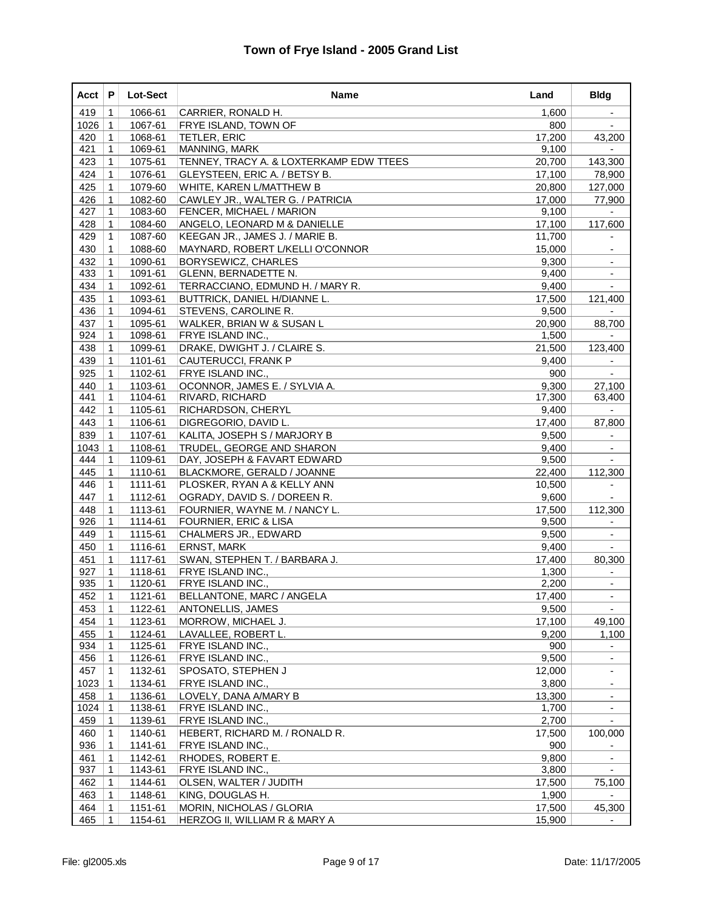| Acct       | P                 | Lot-Sect           | Name                                                      | Land            | <b>Bldg</b>              |
|------------|-------------------|--------------------|-----------------------------------------------------------|-----------------|--------------------------|
| 419        | 1                 | 1066-61            | CARRIER, RONALD H.                                        | 1,600           | $\overline{\phantom{a}}$ |
| 1026       | $\mathbf 1$       | 1067-61            | <b>FRYE ISLAND, TOWN OF</b>                               | 800             |                          |
| 420        | $\mathbf 1$       | 1068-61            | <b>TETLER, ERIC</b>                                       | 17,200          | 43,200                   |
| 421        | 1                 | 1069-61            | MANNING, MARK                                             | 9,100           |                          |
| 423        | $\mathbf{1}$      | 1075-61            | TENNEY, TRACY A. & LOXTERKAMP EDW TTEES                   | 20,700          | 143,300                  |
| 424        | 1                 | 1076-61            | GLEYSTEEN, ERIC A. / BETSY B.                             | 17,100          | 78,900                   |
| 425        | 1                 | 1079-60            | WHITE, KAREN L/MATTHEW B                                  | 20,800          | 127,000                  |
| 426        | $\mathbf{1}$      | 1082-60            | CAWLEY JR., WALTER G. / PATRICIA                          | 17,000          | 77,900                   |
| 427        | 1                 | 1083-60            | <b>FENCER, MICHAEL / MARION</b>                           | 9,100           |                          |
| 428        | $\mathbf{1}$      | 1084-60            | ANGELO, LEONARD M & DANIELLE                              | 17,100          | 117,600                  |
| 429        | 1                 | 1087-60            | KEEGAN JR., JAMES J. / MARIE B.                           | 11,700          | ۰                        |
| 430        | 1                 | 1088-60            | MAYNARD, ROBERT L/KELLI O'CONNOR                          | 15,000          |                          |
| 432        | $\mathbf{1}$      | 1090-61            | <b>BORYSEWICZ, CHARLES</b>                                | 9,300           | $\overline{\phantom{a}}$ |
| 433        | 1                 | 1091-61            | GLENN, BERNADETTE N.                                      | 9,400           |                          |
| 434        | $\mathbf{1}$      | 1092-61            | TERRACCIANO, EDMUND H. / MARY R.                          | 9,400           | $\overline{\phantom{0}}$ |
| 435        | 1                 | 1093-61            | <b>BUTTRICK, DANIEL H/DIANNE L.</b>                       | 17,500          | 121,400                  |
| 436        | 1                 | 1094-61            | <b>STEVENS, CAROLINE R.</b>                               | 9,500           |                          |
| 437        | $\mathbf{1}$      | 1095-61            | WALKER, BRIAN W & SUSAN L                                 | 20,900          | 88,700                   |
| 924        | 1                 | 1098-61            | <b>FRYE ISLAND INC</b>                                    | 1,500           |                          |
| 438        | $\mathbf{1}$      | 1099-61            | DRAKE, DWIGHT J. / CLAIRE S.                              | 21,500          | 123,400                  |
| 439        | 1                 | 1101-61            | CAUTERUCCI, FRANK P                                       | 9,400           | ۰                        |
| 925        | 1                 | 1102-61            | <b>FRYE ISLAND INC</b>                                    | 900             |                          |
| 440        | $\mathbf{1}$      | 1103-61            | OCONNOR, JAMES E. / SYLVIA A.                             | 9,300           | 27,100                   |
| 441        | 1                 | 1104-61            | RIVARD, RICHARD                                           | 17,300          | 63,400                   |
| 442        | $\mathbf{1}$      | 1105-61            | <b>RICHARDSON, CHERYL</b>                                 | 9,400           |                          |
| 443        | 1                 | 1106-61            | DIGREGORIO, DAVID L.                                      | 17,400          | 87,800                   |
| 839        | 1                 | 1107-61            | KALITA, JOSEPH S / MARJORY B                              | 9,500           |                          |
| 1043       | $\mathbf{1}$      | 1108-61            | TRUDEL, GEORGE AND SHARON                                 | 9,400           | $\overline{\phantom{a}}$ |
| 444        | $\mathbf{1}$      | 1109-61            | DAY, JOSEPH & FAVART EDWARD                               | 9,500           |                          |
| 445        | $\mathbf{1}$      | 1110-61            | BLACKMORE, GERALD / JOANNE                                | 22,400          | 112,300                  |
| 446        | 1                 | 1111-61            | PLOSKER, RYAN A & KELLY ANN                               | 10,500          | ۰                        |
| 447        | 1                 | 1112-61            | OGRADY, DAVID S. / DOREEN R.                              | 9,600           |                          |
| 448        | $\mathbf{1}$      | 1113-61            | FOURNIER, WAYNE M. / NANCY L.                             | 17,500          | 112,300                  |
| 926<br>449 | 1<br>$\mathbf{1}$ | 1114-61            | FOURNIER, ERIC & LISA                                     | 9,500<br>9,500  | $\overline{\phantom{a}}$ |
| 450        | 1                 | 1115-61<br>1116-61 | CHALMERS JR., EDWARD<br><b>ERNST, MARK</b>                | 9,400           |                          |
|            |                   |                    |                                                           |                 |                          |
| 451<br>927 | 1<br>$\mathbf{1}$ | 1117-61<br>1118-61 | SWAN, STEPHEN T. / BARBARA J.<br><b>FRYE ISLAND INC.,</b> | 17,400<br>1,300 | 80,300                   |
| 935        | 1                 | 1120-61            | FRYE ISLAND INC.,                                         | 2,200           |                          |
| 452        | $\mathbf 1$       | 1121-61            | BELLANTONE, MARC / ANGELA                                 | 17,400          |                          |
| 453        | $\mathbf{1}$      | 1122-61            | ANTONELLIS, JAMES                                         | 9,500           | $\blacksquare$           |
| 454        | $\mathbf 1$       | 1123-61            | MORROW, MICHAEL J.                                        | 17,100          | 49,100                   |
| 455        | $\mathbf 1$       | 1124-61            | LAVALLEE, ROBERT L.                                       | 9,200           | 1,100                    |
| 934        | 1                 | 1125-61            | FRYE ISLAND INC.,                                         | 900             |                          |
| 456        | $\mathbf 1$       | 1126-61            | FRYE ISLAND INC.,                                         | 9,500           | $\overline{\phantom{0}}$ |
| 457        | $\mathbf 1$       | 1132-61            | SPOSATO, STEPHEN J                                        | 12,000          | ۰.                       |
| 1023       | $\mathbf{1}$      | 1134-61            | FRYE ISLAND INC.,                                         | 3,800           | $\overline{\phantom{0}}$ |
| 458        | $\mathbf 1$       | 1136-61            | LOVELY, DANA A/MARY B                                     | 13,300          | $\overline{\phantom{0}}$ |
| 1024       | $\mathbf 1$       | 1138-61            | FRYE ISLAND INC.,                                         | 1,700           |                          |
| 459        | 1                 | 1139-61            | <b>FRYE ISLAND INC.,</b>                                  | 2,700           | ۰.                       |
| 460        | $\mathbf 1$       | 1140-61            | HEBERT, RICHARD M. / RONALD R.                            | 17,500          | 100,000                  |
| 936        | 1                 | 1141-61            | FRYE ISLAND INC.,                                         | 900             |                          |
| 461        | 1                 | 1142-61            | RHODES, ROBERT E.                                         | 9,800           | ۰                        |
| 937        | 1                 | 1143-61            | FRYE ISLAND INC.,                                         | 3,800           |                          |
| 462        | $\mathbf 1$       | 1144-61            | OLSEN, WALTER / JUDITH                                    | 17,500          | 75,100                   |
| 463        | $\mathbf 1$       | 1148-61            | KING, DOUGLAS H.                                          | 1,900           |                          |
| 464        | 1                 | 1151-61            | MORIN, NICHOLAS / GLORIA                                  | 17,500          | 45,300                   |
| 465        | 1                 | 1154-61            | HERZOG II, WILLIAM R & MARY A                             | 15,900          |                          |
|            |                   |                    |                                                           |                 |                          |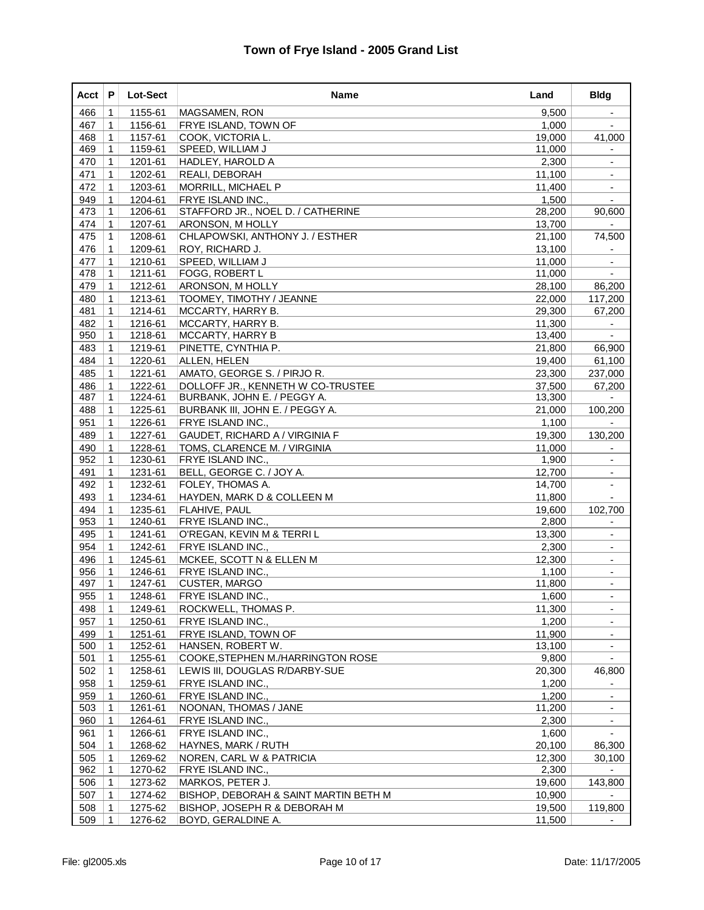| Acct | P            | Lot-Sect | <b>Name</b>                           | Land   | <b>Bldg</b>              |
|------|--------------|----------|---------------------------------------|--------|--------------------------|
| 466  | 1            | 1155-61  | MAGSAMEN, RON                         | 9,500  |                          |
| 467  | 1            | 1156-61  | FRYE ISLAND, TOWN OF                  | 1,000  |                          |
| 468  | $\mathbf{1}$ | 1157-61  | COOK, VICTORIA L.                     | 19,000 | 41,000                   |
| 469  | 1            | 1159-61  | SPEED, WILLIAM J                      | 11,000 |                          |
| 470  | $\mathbf 1$  | 1201-61  | HADLEY, HAROLD A                      | 2,300  | $\overline{\phantom{a}}$ |
| 471  | 1            | 1202-61  | REALI, DEBORAH                        | 11,100 |                          |
| 472  | 1            | 1203-61  | MORRILL, MICHAEL P                    | 11,400 |                          |
| 949  | $\mathbf{1}$ | 1204-61  | FRYE ISLAND INC.,                     | 1,500  |                          |
| 473  | 1            | 1206-61  | STAFFORD JR., NOEL D. / CATHERINE     | 28,200 | 90,600                   |
| 474  | $\mathbf 1$  | 1207-61  | <b>ARONSON, M HOLLY</b>               | 13,700 | $\blacksquare$           |
| 475  | 1            | 1208-61  | CHLAPOWSKI, ANTHONY J. / ESTHER       | 21,100 | 74,500                   |
| 476  | 1            | 1209-61  | ROY, RICHARD J.                       | 13,100 |                          |
| 477  | $\mathbf{1}$ | 1210-61  | <b>SPEED, WILLIAM J</b>               | 11,000 |                          |
| 478  | 1            | 1211-61  | FOGG, ROBERT L                        | 11,000 | $\sim$                   |
| 479  | $\mathbf 1$  | 1212-61  | <b>ARONSON, M HOLLY</b>               | 28,100 | 86,200                   |
| 480  | 1            | 1213-61  | TOOMEY, TIMOTHY / JEANNE              | 22,000 | 117,200                  |
| 481  | 1            | 1214-61  | MCCARTY, HARRY B.                     | 29,300 | 67,200                   |
| 482  | $\mathbf{1}$ | 1216-61  | MCCARTY, HARRY B.                     | 11,300 |                          |
| 950  | 1            | 1218-61  | MCCARTY, HARRY B                      | 13,400 | $\overline{a}$           |
| 483  | $\mathbf 1$  | 1219-61  | PINETTE, CYNTHIA P.                   | 21,800 | 66,900                   |
| 484  | 1            | 1220-61  | ALLEN, HELEN                          | 19,400 | 61,100                   |
| 485  | 1            | 1221-61  | AMATO, GEORGE S. / PIRJO R.           | 23,300 | 237,000                  |
| 486  | $\mathbf{1}$ | 1222-61  | DOLLOFF JR., KENNETH W CO-TRUSTEE     | 37,500 | 67,200                   |
| 487  | 1            | 1224-61  | BURBANK, JOHN E. / PEGGY A.           | 13,300 |                          |
| 488  | $\mathbf 1$  | 1225-61  | BURBANK III, JOHN E. / PEGGY A.       | 21,000 | 100,200                  |
| 951  | 1            | 1226-61  | FRYE ISLAND INC.,                     | 1,100  |                          |
| 489  | 1            | 1227-61  | GAUDET, RICHARD A / VIRGINIA F        | 19,300 | 130,200                  |
| 490  | $\mathbf{1}$ | 1228-61  | TOMS, CLARENCE M. / VIRGINIA          | 11,000 |                          |
| 952  | 1            | 1230-61  | <b>FRYE ISLAND INC.,</b>              | 1,900  | $\blacksquare$           |
| 491  | $\mathbf 1$  | 1231-61  | BELL, GEORGE C. / JOY A.              | 12,700 | $\overline{\phantom{a}}$ |
| 492  | 1            | 1232-61  | FOLEY, THOMAS A.                      | 14,700 |                          |
| 493  | 1            | 1234-61  | HAYDEN, MARK D & COLLEEN M            | 11,800 |                          |
| 494  | $\mathbf{1}$ | 1235-61  | FLAHIVE, PAUL                         | 19,600 | 102,700                  |
| 953  | 1            | 1240-61  | <b>FRYE ISLAND INC.,</b>              | 2,800  | $\overline{\phantom{a}}$ |
| 495  | $\mathbf 1$  | 1241-61  | O'REGAN, KEVIN M & TERRI L            | 13,300 | $\overline{\phantom{a}}$ |
| 954  | 1            | 1242-61  | FRYE ISLAND INC.,                     | 2,300  |                          |
| 496  | 1            | 1245-61  | MCKEE, SCOTT N & ELLEN M              | 12,300 | ۰                        |
| 956  | $\mathbf{1}$ | 1246-61  | <b>FRYE ISLAND INC.,</b>              | 1,100  | $\overline{\phantom{a}}$ |
| 497  | 1            | 1247-61  | CUSTER, MARGO                         | 11,800 | $\blacksquare$           |
| 955  | $\mathbf{1}$ | 1248-61  | FRYE ISLAND INC.,                     | 1,600  | $\sim$                   |
| 498  | $\mathbf 1$  | 1249-61  | ROCKWELL, THOMAS P.                   | 11,300 |                          |
| 957  | $\mathbf 1$  | 1250-61  | FRYE ISLAND INC.,                     | 1,200  |                          |
| 499  | $\mathbf 1$  | 1251-61  | <b>FRYE ISLAND, TOWN OF</b>           | 11,900 |                          |
| 500  | $\mathbf 1$  | 1252-61  | HANSEN, ROBERT W.                     | 13,100 | $\overline{\phantom{a}}$ |
| 501  | $\mathbf 1$  | 1255-61  | COOKE, STEPHEN M./HARRINGTON ROSE     | 9,800  | $\overline{\phantom{a}}$ |
| 502  | 1            | 1258-61  | LEWIS III, DOUGLAS R/DARBY-SUE        | 20,300 | 46,800                   |
| 958  | 1            | 1259-61  | FRYE ISLAND INC.,                     | 1,200  |                          |
| 959  | 1            | 1260-61  | FRYE ISLAND INC.,                     | 1,200  | ٠                        |
| 503  | 1            | 1261-61  | NOONAN, THOMAS / JANE                 | 11,200 | $\blacksquare$           |
| 960  | $\mathbf 1$  | 1264-61  | FRYE ISLAND INC.,                     | 2,300  | $\overline{\phantom{a}}$ |
| 961  | 1            | 1266-61  | FRYE ISLAND INC.,                     | 1,600  |                          |
| 504  | 1            | 1268-62  | HAYNES, MARK / RUTH                   | 20,100 | 86,300                   |
| 505  | 1            | 1269-62  | NOREN, CARL W & PATRICIA              | 12,300 | 30,100                   |
| 962  | 1            | 1270-62  | FRYE ISLAND INC.,                     | 2,300  | $\blacksquare$           |
| 506  | $\mathbf{1}$ | 1273-62  | MARKOS, PETER J.                      | 19,600 | 143,800                  |
| 507  | 1            | 1274-62  | BISHOP, DEBORAH & SAINT MARTIN BETH M | 10,900 |                          |
| 508  | 1            | 1275-62  | BISHOP, JOSEPH R & DEBORAH M          | 19,500 | 119,800                  |
| 509  | $\mathbf 1$  | 1276-62  | BOYD, GERALDINE A.                    | 11,500 |                          |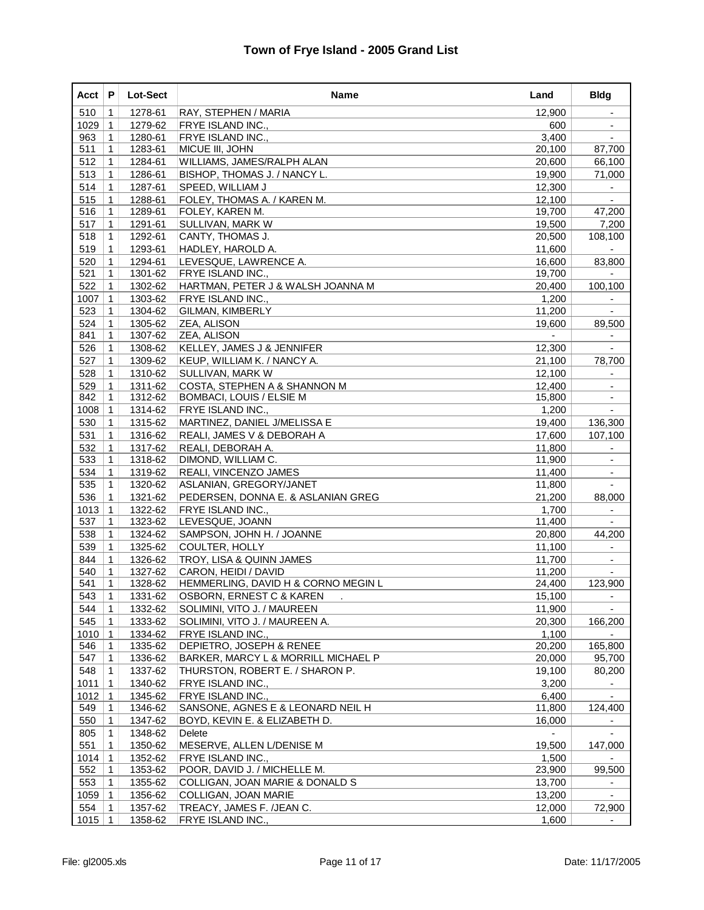| Acct | P              | Lot-Sect | Name                                | Land   | <b>Bldg</b>              |
|------|----------------|----------|-------------------------------------|--------|--------------------------|
| 510  | 1              | 1278-61  | RAY, STEPHEN / MARIA                | 12,900 | $\overline{\phantom{a}}$ |
| 1029 | $\mathbf 1$    | 1279-62  | FRYE ISLAND INC.,                   | 600    |                          |
| 963  | $\mathbf{1}$   | 1280-61  | FRYE ISLAND INC.,                   | 3,400  |                          |
| 511  | 1              | 1283-61  | MICUE III, JOHN                     | 20,100 | 87,700                   |
| 512  | $\mathbf 1$    | 1284-61  | WILLIAMS, JAMES/RALPH ALAN          | 20,600 | 66,100                   |
| 513  | 1              | 1286-61  | BISHOP, THOMAS J. / NANCY L.        | 19,900 | 71,000                   |
| 514  | 1              | 1287-61  | SPEED, WILLIAM J                    | 12,300 |                          |
| 515  | $\mathbf{1}$   | 1288-61  | FOLEY, THOMAS A. / KAREN M.         | 12,100 |                          |
| 516  | 1              | 1289-61  | FOLEY, KAREN M.                     | 19,700 | 47,200                   |
| 517  | $\mathbf{1}$   | 1291-61  | SULLIVAN, MARK W                    | 19,500 | 7,200                    |
| 518  | 1              | 1292-61  | CANTY, THOMAS J.                    | 20,500 | 108,100                  |
| 519  | 1              | 1293-61  | HADLEY, HAROLD A.                   | 11,600 |                          |
| 520  | $\mathbf{1}$   | 1294-61  | LEVESQUE, LAWRENCE A.               | 16,600 | 83,800                   |
| 521  | 1              | 1301-62  | <b>FRYE ISLAND INC.,</b>            | 19,700 |                          |
| 522  | $\mathbf{1}$   | 1302-62  | HARTMAN, PETER J & WALSH JOANNA M   | 20,400 | 100,100                  |
| 1007 | 1              | 1303-62  | FRYE ISLAND INC.,                   | 1,200  |                          |
| 523  | 1              | 1304-62  | GILMAN, KIMBERLY                    | 11,200 |                          |
| 524  | $\mathbf{1}$   | 1305-62  | ZEA, ALISON                         | 19,600 | 89,500                   |
| 841  | 1              | 1307-62  | ZEA, ALISON                         |        |                          |
| 526  | $\mathbf 1$    | 1308-62  | KELLEY, JAMES J & JENNIFER          | 12,300 | $\blacksquare$           |
| 527  | 1              | 1309-62  | KEUP, WILLIAM K. / NANCY A.         | 21,100 | 78,700                   |
| 528  | 1              | 1310-62  | SULLIVAN, MARK W                    | 12,100 |                          |
| 529  | $\mathbf{1}$   | 1311-62  | COSTA, STEPHEN A & SHANNON M        | 12,400 |                          |
| 842  | 1              | 1312-62  | <b>BOMBACI, LOUIS / ELSIE M</b>     | 15,800 |                          |
| 1008 | $\mathbf{1}$   | 1314-62  | FRYE ISLAND INC.,                   | 1,200  | $\blacksquare$           |
| 530  | $\mathbf 1$    | 1315-62  | MARTINEZ, DANIEL J/MELISSA E        | 19,400 | 136,300                  |
| 531  | 1              | 1316-62  | REALI, JAMES V & DEBORAH A          | 17,600 | 107,100                  |
| 532  | $\mathbf{1}$   | 1317-62  | REALI, DEBORAH A.                   | 11,800 |                          |
| 533  | 1              | 1318-62  | DIMOND, WILLIAM C.                  | 11,900 |                          |
| 534  | $\mathbf{1}$   | 1319-62  | <b>REALI, VINCENZO JAMES</b>        | 11,400 | $\blacksquare$           |
| 535  | 1              | 1320-62  | ASLANIAN, GREGORY/JANET             | 11,800 |                          |
| 536  | $\mathbf{1}$   | 1321-62  | PEDERSEN, DONNA E. & ASLANIAN GREG  | 21,200 | 88,000                   |
| 1013 | $\mathbf{1}$   | 1322-62  | FRYE ISLAND INC.,                   | 1,700  | $\overline{\phantom{a}}$ |
| 537  | 1              | 1323-62  | LEVESQUE, JOANN                     | 11,400 |                          |
| 538  | $\mathbf 1$    | 1324-62  | SAMPSON, JOHN H. / JOANNE           | 20,800 | 44,200                   |
| 539  | 1              | 1325-62  | COULTER, HOLLY                      | 11,100 |                          |
| 844  | $\mathbf{1}$   | 1326-62  | TROY, LISA & QUINN JAMES            | 11,700 | ٠                        |
| 540  | $\mathbf{1}$   | 1327-62  | CARON, HEIDI / DAVID                | 11,200 |                          |
| 541  | 1              | 1328-62  | HEMMERLING, DAVID H & CORNO MEGIN L | 24,400 | 123,900                  |
| 543  | $\overline{1}$ | 1331-62  | OSBORN, ERNEST C & KAREN            | 15,100 |                          |
| 544  | $\mathbf 1$    | 1332-62  | SOLIMINI, VITO J. / MAUREEN         | 11,900 |                          |
| 545  | $\mathbf 1$    | 1333-62  | SOLIMINI, VITO J. / MAUREEN A.      | 20,300 | 166,200                  |
| 1010 | $\mathbf 1$    | 1334-62  | FRYE ISLAND INC.,                   | 1,100  |                          |
| 546  | $\mathbf 1$    | 1335-62  | DEPIETRO, JOSEPH & RENEE            | 20,200 | 165,800                  |
| 547  | $\mathbf 1$    | 1336-62  | BARKER, MARCY L & MORRILL MICHAEL P | 20,000 | 95,700                   |
| 548  | $\mathbf 1$    | 1337-62  | THURSTON, ROBERT E. / SHARON P.     | 19,100 | 80,200                   |
| 1011 | $\mathbf 1$    | 1340-62  | FRYE ISLAND INC.,                   | 3,200  |                          |
| 1012 | $\mathbf 1$    | 1345-62  | FRYE ISLAND INC.,                   | 6,400  |                          |
| 549  | $\mathbf 1$    | 1346-62  | SANSONE, AGNES E & LEONARD NEIL H   | 11,800 | 124,400                  |
| 550  | $\mathbf 1$    | 1347-62  | BOYD, KEVIN E. & ELIZABETH D.       | 16,000 |                          |
| 805  | $\mathbf 1$    | 1348-62  | Delete                              |        |                          |
| 551  | 1              | 1350-62  | MESERVE, ALLEN L/DENISE M           | 19,500 | 147,000                  |
| 1014 | $\mathbf 1$    | 1352-62  | FRYE ISLAND INC.,                   | 1,500  |                          |
| 552  | $\mathbf 1$    | 1353-62  | POOR, DAVID J. / MICHELLE M.        | 23,900 | 99,500                   |
| 553  | $\mathbf{1}$   | 1355-62  | COLLIGAN, JOAN MARIE & DONALD S     | 13,700 | $\sim$                   |
| 1059 | $\mathbf 1$    | 1356-62  | COLLIGAN, JOAN MARIE                | 13,200 | $\blacksquare$           |
| 554  | $\mathbf{1}$   | 1357-62  | TREACY, JAMES F. /JEAN C.           | 12,000 | 72,900                   |
| 1015 | -1             | 1358-62  | FRYE ISLAND INC.,                   | 1,600  |                          |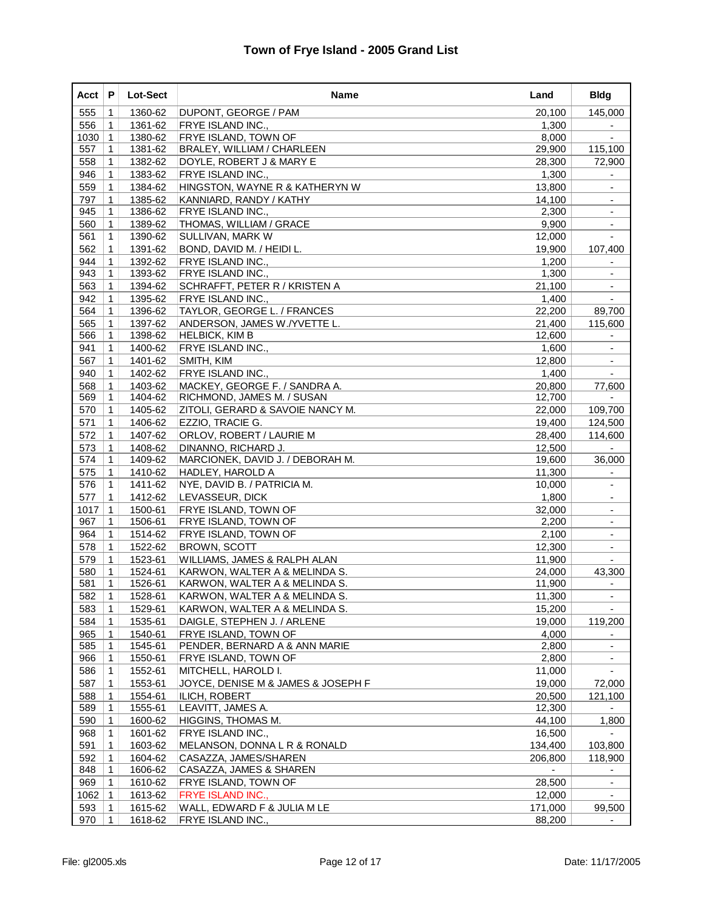| Acct       | P                 | Lot-Sect           | Name                                                           | Land             | <b>Bldg</b>              |
|------------|-------------------|--------------------|----------------------------------------------------------------|------------------|--------------------------|
| 555        | $\mathbf 1$       | 1360-62            | DUPONT, GEORGE / PAM                                           | 20,100           | 145,000                  |
| 556        | 1                 | 1361-62            | <b>FRYE ISLAND INC.,</b>                                       | 1,300            |                          |
| 1030       | $\mathbf{1}$      | 1380-62            | <b>FRYE ISLAND, TOWN OF</b>                                    | 8,000            |                          |
| 557        | 1                 | 1381-62            | <b>BRALEY, WILLIAM / CHARLEEN</b>                              | 29,900           | 115,100                  |
| 558        | $\mathbf 1$       | 1382-62            | DOYLE, ROBERT J & MARY E                                       | 28,300           | 72,900                   |
| 946        | $\mathbf 1$       | 1383-62            | FRYE ISLAND INC.,                                              | 1,300            | $\overline{\phantom{a}}$ |
| 559        | 1                 | 1384-62            | HINGSTON, WAYNE R & KATHERYN W                                 | 13,800           |                          |
| 797        | $\mathbf{1}$      | 1385-62            | KANNIARD, RANDY / KATHY                                        | 14,100           |                          |
| 945        | 1                 | 1386-62            | <b>FRYE ISLAND INC.,</b>                                       | 2,300            |                          |
| 560        | $\mathbf 1$       | 1389-62            | THOMAS, WILLIAM / GRACE                                        | 9,900            | $\overline{\phantom{a}}$ |
| 561        | 1                 | 1390-62            | <b>SULLIVAN, MARK W</b>                                        | 12,000           |                          |
| 562        | 1                 | 1391-62            | BOND, DAVID M. / HEIDI L.                                      | 19,900           | 107,400                  |
| 944        | 1                 | 1392-62            | <b>FRYE ISLAND INC.,</b>                                       | 1,200            | $\overline{\phantom{a}}$ |
| 943        | 1                 | 1393-62            | FRYE ISLAND INC.,                                              | 1,300            |                          |
| 563        | $\mathbf 1$       | 1394-62            | SCHRAFFT, PETER R / KRISTEN A                                  | 21,100           | $\blacksquare$           |
| 942        | $\mathbf 1$       | 1395-62            | FRYE ISLAND INC.,                                              | 1,400            |                          |
| 564        | 1                 | 1396-62            | TAYLOR, GEORGE L. / FRANCES                                    | 22,200           | 89,700                   |
| 565        | $\mathbf{1}$      | 1397-62            | ANDERSON, JAMES W./YVETTE L.                                   | 21,400           | 115,600                  |
| 566        | 1                 | 1398-62            | HELBICK, KIM B                                                 | 12,600           |                          |
| 941        | $\mathbf 1$       | 1400-62            | FRYE ISLAND INC.,                                              | 1,600            | $\blacksquare$           |
| 567        | $\mathbf 1$       | 1401-62            | SMITH, KIM                                                     | 12,800           | $\overline{\phantom{a}}$ |
| 940        | 1                 | 1402-62            | FRYE ISLAND INC.,                                              | 1,400            |                          |
| 568        | 1                 | 1403-62            | MACKEY, GEORGE F. / SANDRA A.                                  | 20,800           | 77.600                   |
| 569        | 1                 | 1404-62            | RICHMOND, JAMES M. / SUSAN                                     | 12,700           |                          |
| 570        | $\mathbf 1$       | 1405-62            | ZITOLI, GERARD & SAVOIE NANCY M.                               | 22,000           | 109,700                  |
| 571        | $\mathbf 1$       | 1406-62            | EZZIO, TRACIE G.                                               | 19,400           | 124,500                  |
| 572        | 1                 | 1407-62            | <b>ORLOV, ROBERT / LAURIE M</b>                                | 28,400           | 114,600                  |
| 573        | $\mathbf{1}$      | 1408-62            | DINANNO, RICHARD J.                                            | 12,500           |                          |
| 574        | 1                 | 1409-62            | MARCIONEK, DAVID J. / DEBORAH M.                               | 19,600           | 36,000                   |
| 575        | $\mathbf 1$       | 1410-62            | HADLEY, HAROLD A                                               | 11,300           | $\overline{\phantom{a}}$ |
| 576        | $\mathbf 1$       | 1411-62            | NYE, DAVID B. / PATRICIA M.                                    | 10,000           | $\overline{\phantom{a}}$ |
| 577        | 1                 | 1412-62            | LEVASSEUR, DICK                                                | 1,800            |                          |
| 1017       | $\mathbf{1}$      | 1500-61            | <b>FRYE ISLAND, TOWN OF</b>                                    | 32,000           | $\blacksquare$           |
| 967        | 1                 | 1506-61            | <b>FRYE ISLAND, TOWN OF</b>                                    | 2,200            |                          |
| 964        | $\mathbf 1$       | 1514-62            | <b>FRYE ISLAND, TOWN OF</b>                                    | 2,100            | $\blacksquare$           |
| 578        | $\mathbf 1$       | 1522-62            | <b>BROWN, SCOTT</b>                                            | 12,300           | $\blacksquare$           |
| 579        | 1                 | 1523-61            | WILLIAMS, JAMES & RALPH ALAN                                   | 11,900           |                          |
| 580        | $\mathbf{1}$      | 1524-61            | KARWON, WALTER A & MELINDA S.                                  | 24,000           | 43,300                   |
| 581        | 1                 | 1526-61<br>1528-61 | KARWON, WALTER A & MELINDA S.                                  | 11,900           |                          |
| 582        | $\mathbf 1$       |                    | KARWON, WALTER A & MELINDA S.<br>KARWON, WALTER A & MELINDA S. | 11,300           |                          |
| 583        | $\mathbf 1$       | 1529-61            | DAIGLE, STEPHEN J. / ARLENE                                    | 15,200           |                          |
| 584<br>965 | 1<br>$\mathbf{1}$ | 1535-61<br>1540-61 |                                                                | 19,000<br>4,000  | 119,200                  |
| 585        | $\mathbf 1$       | 1545-61            | FRYE ISLAND, TOWN OF<br>PENDER, BERNARD A & ANN MARIE          | 2,800            |                          |
| 966        | $\mathbf 1$       | 1550-61            | FRYE ISLAND, TOWN OF                                           | 2,800            |                          |
| 586        | $\mathbf 1$       | 1552-61            | MITCHELL, HAROLD I.                                            | 11,000           |                          |
|            |                   |                    |                                                                |                  |                          |
| 587        | 1                 | 1553-61<br>1554-61 | JOYCE, DENISE M & JAMES & JOSEPH F                             | 19,000           | 72,000                   |
| 588<br>589 | 1<br>1            | 1555-61            | ILICH, ROBERT<br>LEAVITT, JAMES A.                             | 20,500<br>12,300 | 121,100                  |
| 590        | 1                 | 1600-62            | HIGGINS, THOMAS M.                                             | 44,100           | 1,800                    |
| 968        | $\mathbf 1$       | 1601-62            | FRYE ISLAND INC.,                                              | 16,500           |                          |
| 591        | 1                 | 1603-62            | MELANSON, DONNA L R & RONALD                                   | 134,400          | 103,800                  |
| 592        | 1                 | 1604-62            | CASAZZA, JAMES/SHAREN                                          | 206,800          | 118,900                  |
| 848        | $\mathbf 1$       | 1606-62            | CASAZZA, JAMES & SHAREN                                        |                  |                          |
| 969        | 1                 | 1610-62            | FRYE ISLAND, TOWN OF                                           | 28,500           | $\overline{\phantom{a}}$ |
| 1062       | 1                 | 1613-62            | FRYE ISLAND INC.,                                              | 12,000           | $\blacksquare$           |
| 593        | 1                 | 1615-62            | WALL, EDWARD F & JULIA M LE                                    | 171,000          | 99,500                   |
| 970        | 1                 | 1618-62            | FRYE ISLAND INC.,                                              | 88,200           | ٠                        |
|            |                   |                    |                                                                |                  |                          |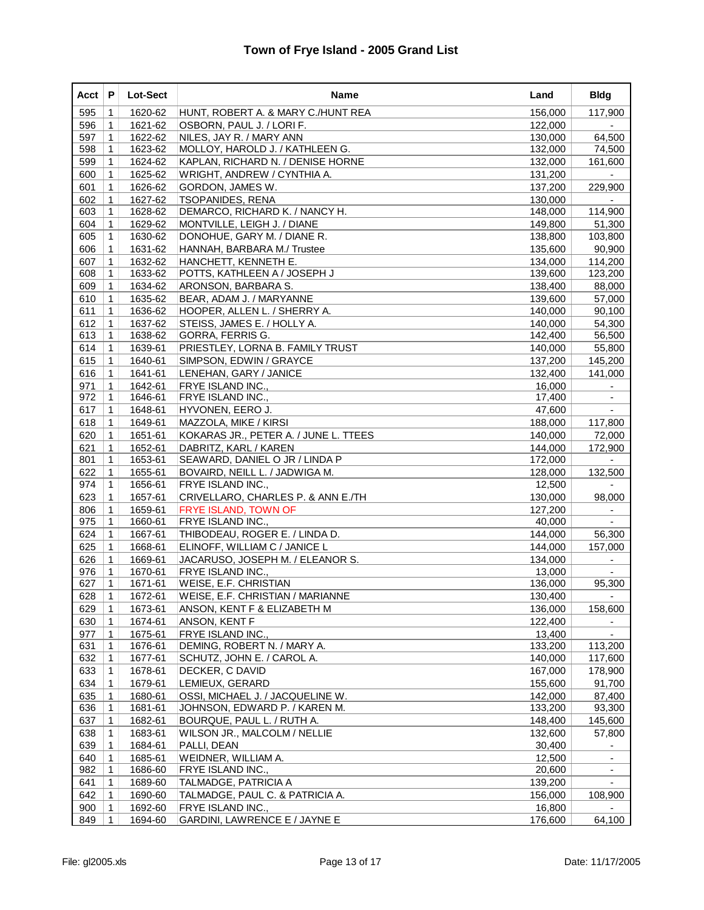| Acct       | P                 | <b>Lot-Sect</b>    | Name                                                            | Land               | <b>Bldg</b>        |
|------------|-------------------|--------------------|-----------------------------------------------------------------|--------------------|--------------------|
| 595        | $\mathbf 1$       | 1620-62            | HUNT, ROBERT A. & MARY C./HUNT REA                              | 156,000            | 117,900            |
| 596        | 1                 | 1621-62            | OSBORN, PAUL J. / LORI F.                                       | 122,000            |                    |
| 597        | 1                 | 1622-62            | NILES, JAY R. / MARY ANN                                        | 130,000            | 64,500             |
| 598        | 1                 | 1623-62            | MOLLOY, HAROLD J. / KATHLEEN G.                                 | 132,000            | 74,500             |
| 599        | 1                 | 1624-62            | KAPLAN, RICHARD N. / DENISE HORNE                               | 132,000            | 161,600            |
| 600        | $\mathbf 1$       | 1625-62            | WRIGHT, ANDREW / CYNTHIA A.                                     | 131,200            |                    |
| 601        | 1                 | 1626-62            | GORDON, JAMES W.                                                | 137,200            | 229,900            |
| 602        | 1                 | 1627-62            | <b>TSOPANIDES, RENA</b>                                         | 130,000            |                    |
| 603        | 1                 | 1628-62            | DEMARCO, RICHARD K. / NANCY H.                                  | 148,000            | 114,900            |
| 604        | 1                 | 1629-62            | MONTVILLE, LEIGH J. / DIANE                                     | 149,800            | 51,300             |
| 605        | $\mathbf 1$       | 1630-62            | DONOHUE, GARY M. / DIANE R.                                     | 138,800            | 103,800            |
| 606        | 1                 | 1631-62            | HANNAH, BARBARA M./ Trustee                                     | 135,600            | 90,900             |
| 607<br>608 | 1<br>$\mathbf{1}$ | 1632-62<br>1633-62 | HANCHETT, KENNETH E.                                            | 134,000            | 114,200<br>123,200 |
| 609        | 1                 | 1634-62            | POTTS, KATHLEEN A / JOSEPH J<br> ARONSON, BARBARA S.            | 139,600<br>138,400 | 88,000             |
| 610        | $\mathbf 1$       | 1635-62            | BEAR, ADAM J. / MARYANNE                                        | 139,600            | 57,000             |
| 611        | 1                 | 1636-62            | HOOPER, ALLEN L. / SHERRY A.                                    | 140,000            | 90,100             |
| 612        | $\mathbf 1$       | 1637-62            | STEISS, JAMES E. / HOLLY A.                                     | 140,000            | 54,300             |
| 613        | $\mathbf{1}$      | 1638-62            | GORRA, FERRIS G.                                                | 142,400            | 56,500             |
| 614        | 1                 | 1639-61            | PRIESTLEY, LORNA B. FAMILY TRUST                                | 140,000            | 55,800             |
| 615        | $\mathbf 1$       | 1640-61            | SIMPSON, EDWIN / GRAYCE                                         | 137.200            | 145,200            |
| 616        | 1                 | 1641-61            | LENEHAN, GARY / JANICE                                          | 132,400            | 141.000            |
| 971        | 1                 | 1642-61            | FRYE ISLAND INC.,                                               | 16.000             |                    |
| 972        | 1                 | 1646-61            | FRYE ISLAND INC.,                                               | 17,400             |                    |
| 617        | 1                 | 1648-61            | HYVONEN, EERO J.                                                | 47,600             | $\sim$             |
| 618        | $\mathbf 1$       | 1649-61            | MAZZOLA, MIKE / KIRSI                                           | 188,000            | 117,800            |
| 620        | 1                 | 1651-61            | KOKARAS JR., PETER A. / JUNE L. TTEES                           | 140,000            | 72,000             |
| 621        | 1                 | 1652-61            | DABRITZ, KARL / KAREN                                           | 144,000            | 172,900            |
| 801        | 1                 | 1653-61            | SEAWARD, DANIEL O JR / LINDA P                                  | 172,000            |                    |
| 622        | 1                 | 1655-61            | BOVAIRD, NEILL L. / JADWIGA M.                                  | 128,000            | 132,500            |
| 974        | $\mathbf 1$       | 1656-61            | <b>FRYE ISLAND INC.,</b>                                        | 12,500             |                    |
| 623        | 1                 | 1657-61            | CRIVELLARO, CHARLES P. & ANN E./TH                              | 130,000            | 98,000             |
| 806        | 1                 | 1659-61            | <b>FRYE ISLAND, TOWN OF</b>                                     | 127,200            | $\blacksquare$     |
| 975        | 1                 | 1660-61            | <b>FRYE ISLAND INC.,</b>                                        | 40,000             |                    |
| 624<br>625 | 1                 | 1667-61<br>1668-61 | THIBODEAU, ROGER E. / LINDA D.<br>ELINOFF, WILLIAM C / JANICE L | 144,000<br>144,000 | 56,300<br>157,000  |
| 626        | $\mathbf 1$<br>1  | 1669-61            | JACARUSO, JOSEPH M. / ELEANOR S.                                | 134,000            |                    |
| 976        | $\mathbf{1}$      | 1670-61            | FRYE ISLAND INC.,                                               | 13,000             |                    |
| 627        | 1                 | 1671-61            | <b>WEISE, E.F. CHRISTIAN</b>                                    | 136,000            | 95,300             |
| 628        | $\mathbf 1$       | 1672-61            | WEISE, E.F. CHRISTIAN / MARIANNE                                | 130,400            |                    |
| 629        | 1                 | 1673-61            | ANSON, KENT F & ELIZABETH M                                     | 136,000            | 158,600            |
| 630        | 1                 | 1674-61            | ANSON, KENT F                                                   | 122,400            |                    |
| 977        | $\mathbf 1$       | 1675-61            | FRYE ISLAND INC.,                                               | 13,400             |                    |
| 631        | 1                 | 1676-61            | DEMING, ROBERT N. / MARY A.                                     | 133,200            | 113,200            |
| 632        | 1                 | 1677-61            | SCHUTZ, JOHN E. / CAROL A.                                      | 140,000            | 117,600            |
| 633        | $\mathbf 1$       | 1678-61            | DECKER, C DAVID                                                 | 167,000            | 178,900            |
| 634        | 1                 | 1679-61            | LEMIEUX, GERARD                                                 | 155,600            | 91,700             |
| 635        | $\mathbf 1$       | 1680-61            | OSSI, MICHAEL J. / JACQUELINE W.                                | 142,000            | 87,400             |
| 636        | $\mathbf 1$       | 1681-61            | JOHNSON, EDWARD P. / KAREN M.                                   | 133,200            | 93,300             |
| 637        | 1                 | 1682-61            | BOURQUE, PAUL L. / RUTH A.                                      | 148,400            | 145,600            |
| 638        | 1                 | 1683-61            | WILSON JR., MALCOLM / NELLIE                                    | 132,600            | 57,800             |
| 639        | 1                 | 1684-61            | PALLI, DEAN                                                     | 30,400             |                    |
| 640        | 1                 | 1685-61            | WEIDNER, WILLIAM A.                                             | 12,500             |                    |
| 982        | 1                 | 1686-60            | FRYE ISLAND INC.,                                               | 20,600             |                    |
| 641        | 1                 | 1689-60            | TALMADGE, PATRICIA A                                            | 139,200            |                    |
| 642        | 1                 | 1690-60            | TALMADGE, PAUL C. & PATRICIA A.                                 | 156,000            | 108,900            |
| 900        | 1                 | 1692-60            | <b>FRYE ISLAND INC</b>                                          | 16,800             |                    |
| 849        | 1                 | 1694-60            | GARDINI, LAWRENCE E / JAYNE E                                   | 176,600            | 64,100             |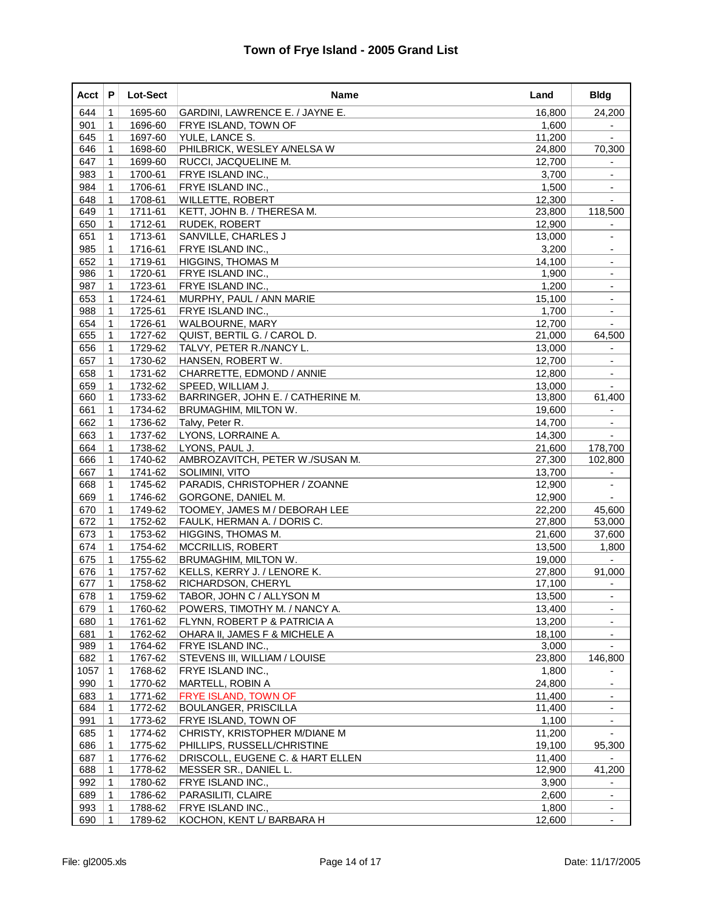| Acct | P            | Lot-Sect | Name                              | Land   | <b>Bldg</b>              |
|------|--------------|----------|-----------------------------------|--------|--------------------------|
| 644  | 1            | 1695-60  | GARDINI, LAWRENCE E. / JAYNE E.   | 16,800 | 24,200                   |
| 901  | 1            | 1696-60  | FRYE ISLAND, TOWN OF              | 1,600  |                          |
| 645  | $\mathbf{1}$ | 1697-60  | YULE, LANCE S.                    | 11,200 |                          |
| 646  | 1            | 1698-60  | PHILBRICK, WESLEY A/NELSA W       | 24,800 | 70,300                   |
| 647  | 1            | 1699-60  | RUCCI, JACQUELINE M.              | 12,700 |                          |
| 983  | 1            | 1700-61  | FRYE ISLAND INC.,                 | 3,700  | $\blacksquare$           |
| 984  | 1            | 1706-61  | FRYE ISLAND INC.,                 | 1,500  |                          |
| 648  | $\mathbf{1}$ | 1708-61  | <b>WILLETTE, ROBERT</b>           | 12,300 |                          |
| 649  | 1            | 1711-61  | KETT, JOHN B. / THERESA M.        | 23,800 | 118,500                  |
| 650  | $\mathbf{1}$ | 1712-61  | <b>RUDEK, ROBERT</b>              | 12,900 | $\overline{\phantom{a}}$ |
| 651  | 1            | 1713-61  | SANVILLE, CHARLES J               | 13,000 | $\overline{\phantom{a}}$ |
| 985  | 1            | 1716-61  | <b>FRYE ISLAND INC.,</b>          | 3,200  |                          |
| 652  | 1            | 1719-61  | <b>HIGGINS, THOMAS M</b>          | 14,100 | $\blacksquare$           |
| 986  | 1            | 1720-61  | FRYE ISLAND INC.,                 | 1,900  |                          |
| 987  | $\mathbf 1$  | 1723-61  | FRYE ISLAND INC.,                 | 1,200  | $\overline{\phantom{a}}$ |
| 653  | $\mathbf{1}$ | 1724-61  | MURPHY, PAUL / ANN MARIE          | 15,100 | $\blacksquare$           |
| 988  | 1            | 1725-61  | <b>FRYE ISLAND INC.,</b>          | 1,700  |                          |
| 654  | $\mathbf{1}$ | 1726-61  | <b>WALBOURNE, MARY</b>            | 12,700 |                          |
| 655  | 1            | 1727-62  | QUIST, BERTIL G. / CAROL D.       | 21,000 | 64,500                   |
| 656  | 1            | 1729-62  | TALVY, PETER R./NANCY L.          | 13,000 | $\blacksquare$           |
| 657  | $\mathbf{1}$ | 1730-62  | HANSEN, ROBERT W.                 | 12,700 | $\overline{\phantom{a}}$ |
| 658  | 1            | 1731-62  | CHARRETTE, EDMOND / ANNIE         | 12,800 |                          |
| 659  | $\mathbf{1}$ | 1732-62  | SPEED, WILLIAM J.                 | 13,000 | $\blacksquare$           |
| 660  | 1            | 1733-62  | BARRINGER, JOHN E. / CATHERINE M. | 13,800 | 61,400                   |
| 661  | 1            | 1734-62  | <b>BRUMAGHIM, MILTON W.</b>       | 19,600 |                          |
| 662  | $\mathbf{1}$ | 1736-62  | Talvy, Peter R.                   | 14,700 | $\blacksquare$           |
| 663  | 1            | 1737-62  | LYONS, LORRAINE A.                | 14,300 |                          |
| 664  | $\mathbf{1}$ | 1738-62  | LYONS, PAUL J.                    | 21,600 | 178,700                  |
| 666  | 1            | 1740-62  | AMBROZAVITCH, PETER W./SUSAN M.   | 27,300 | 102,800                  |
| 667  | $\mathbf{1}$ | 1741-62  | Solimini, Vito                    | 13,700 | $\blacksquare$           |
| 668  | 1            | 1745-62  | PARADIS, CHRISTOPHER / ZOANNE     | 12,900 | $\overline{\phantom{a}}$ |
| 669  | 1            | 1746-62  | GORGONE, DANIEL M.                | 12,900 |                          |
| 670  | $\mathbf{1}$ | 1749-62  | TOOMEY, JAMES M / DEBORAH LEE     | 22,200 | 45,600                   |
| 672  | 1            | 1752-62  | FAULK, HERMAN A. / DORIS C.       | 27,800 | 53,000                   |
| 673  | $\mathbf 1$  | 1753-62  | HIGGINS, THOMAS M.                | 21,600 | 37,600                   |
| 674  | $\mathbf 1$  | 1754-62  | MCCRILLIS, ROBERT                 | 13,500 | 1,800                    |
| 675  | 1            | 1755-62  | <b>BRUMAGHIM, MILTON W.</b>       | 19,000 |                          |
| 676  | $\mathbf{1}$ | 1757-62  | KELLS, KERRY J. / LENORE K.       | 27,800 | 91,000                   |
| 677  | 1            | 1758-62  | RICHARDSON, CHERYL                | 17,100 |                          |
| 678  | $\mathbf 1$  | 1759-62  | TABOR, JOHN C / ALLYSON M         | 13,500 |                          |
| 679  | $\mathbf 1$  | 1760-62  | POWERS, TIMOTHY M. / NANCY A.     | 13,400 | $\overline{\phantom{a}}$ |
| 680  | $\mathbf 1$  | 1761-62  | FLYNN, ROBERT P & PATRICIA A      | 13,200 |                          |
| 681  | 1            | 1762-62  | OHARA II, JAMES F & MICHELE A     | 18,100 |                          |
| 989  | $\mathbf 1$  | 1764-62  | FRYE ISLAND INC.,                 | 3,000  |                          |
| 682  | $\mathbf 1$  | 1767-62  | STEVENS III, WILLIAM / LOUISE     | 23,800 | 146,800                  |
| 1057 | $\mathbf 1$  | 1768-62  | FRYE ISLAND INC.,                 | 1,800  |                          |
| 990  | 1            | 1770-62  | MARTELL, ROBIN A                  | 24,800 |                          |
| 683  | 1            | 1771-62  | FRYE ISLAND, TOWN OF              | 11,400 |                          |
| 684  | $\mathbf 1$  | 1772-62  | <b>BOULANGER, PRISCILLA</b>       | 11,400 |                          |
| 991  | 1            | 1773-62  | <b>FRYE ISLAND, TOWN OF</b>       | 1,100  |                          |
| 685  | $\mathbf 1$  | 1774-62  | CHRISTY, KRISTOPHER M/DIANE M     | 11,200 |                          |
| 686  | 1            | 1775-62  | PHILLIPS, RUSSELL/CHRISTINE       | 19,100 | 95,300                   |
| 687  | 1            | 1776-62  | DRISCOLL, EUGENE C. & HART ELLEN  | 11,400 |                          |
| 688  | $\mathbf 1$  | 1778-62  | MESSER SR., DANIEL L.             | 12,900 | 41,200                   |
| 992  | 1            | 1780-62  | FRYE ISLAND INC.,                 | 3,900  | $\overline{\phantom{a}}$ |
| 689  | $\mathbf 1$  | 1786-62  | PARASILITI, CLAIRE                | 2,600  | $\blacksquare$           |
| 993  | 1            | 1788-62  | FRYE ISLAND INC.,                 | 1,800  |                          |
| 690  | 1            | 1789-62  | KOCHON, KENT L/ BARBARA H         | 12,600 | $\overline{\phantom{a}}$ |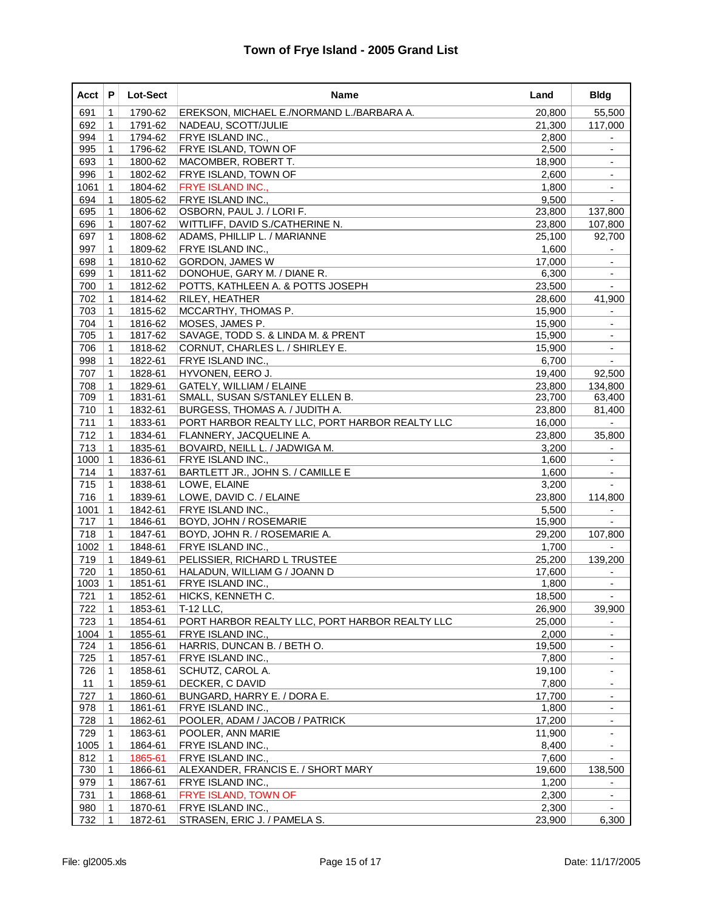| Acct       | P                | <b>Lot-Sect</b>    | Name                                                  | Land            | <b>Bldg</b>              |
|------------|------------------|--------------------|-------------------------------------------------------|-----------------|--------------------------|
| 691        | 1                | 1790-62            | EREKSON, MICHAEL E./NORMAND L./BARBARA A.             | 20,800          | 55,500                   |
| 692        | 1                | 1791-62            | NADEAU, SCOTT/JULIE                                   | 21,300          | 117,000                  |
| 994        | 1                | 1794-62            | <b>FRYE ISLAND INC.,</b>                              | 2,800           |                          |
| 995        | 1                | 1796-62            | <b>FRYE ISLAND, TOWN OF</b>                           | 2,500           |                          |
| 693        | $\mathbf 1$      | 1800-62            | MACOMBER, ROBERT T.                                   | 18,900          | $\overline{\phantom{a}}$ |
| 996        | $\mathbf 1$      | 1802-62            | <b>FRYE ISLAND, TOWN OF</b>                           | 2,600           | $\overline{\phantom{a}}$ |
| 1061       | $\mathbf{1}$     | 1804-62            | FRYE ISLAND INC.,                                     | 1,800           |                          |
| 694        | $\mathbf{1}$     | 1805-62            | <b>FRYE ISLAND INC.,</b>                              | 9,500           |                          |
| 695        | 1                | 1806-62            | OSBORN, PAUL J. / LORI F.                             | 23,800          | 137,800                  |
| 696        | $\mathbf 1$      | 1807-62            | WITTLIFF, DAVID S./CATHERINE N.                       | 23,800          | 107,800                  |
| 697        | $\mathbf 1$      | 1808-62            | ADAMS, PHILLIP L. / MARIANNE                          | 25,100          | 92,700                   |
| 997        | 1                | 1809-62            | <b>FRYE ISLAND INC.,</b>                              | 1,600           |                          |
| 698        | $\mathbf{1}$     | 1810-62            | <b>GORDON, JAMES W</b>                                | 17,000          | $\overline{\phantom{a}}$ |
| 699        | 1                | 1811-62            | DONOHUE, GARY M. / DIANE R.                           | 6,300           |                          |
| 700        | $\mathbf 1$      | 1812-62            | POTTS, KATHLEEN A. & POTTS JOSEPH                     | 23,500          | $\blacksquare$           |
| 702        | $\mathbf 1$      | 1814-62            | <b>RILEY, HEATHER</b>                                 | 28,600          | 41,900                   |
| 703        | 1                | 1815-62            | MCCARTHY, THOMAS P.                                   | 15,900          |                          |
| 704        | $\mathbf{1}$     | 1816-62            | MOSES, JAMES P.                                       | 15,900          | $\blacksquare$           |
| 705        | 1                | 1817-62            | SAVAGE, TODD S. & LINDA M. & PRENT                    | 15,900          |                          |
| 706        | $\mathbf 1$      | 1818-62            | CORNUT, CHARLES L. / SHIRLEY E.                       | 15,900          | $\blacksquare$           |
| 998        | $\mathbf 1$      | 1822-61            | FRYE ISLAND INC.,                                     | 6,700           | $\overline{\phantom{a}}$ |
| 707        | 1                | 1828-61            | HYVONEN, EERO J.                                      | 19,400          | 92,500                   |
| 708        | $\mathbf{1}$     | 1829-61            | <b>GATELY, WILLIAM / ELAINE</b>                       | 23,800          | 134,800                  |
| 709        | $\mathbf 1$      | 1831-61            | SMALL, SUSAN S/STANLEY ELLEN B.                       | 23,700          | 63,400                   |
| 710        | $\mathbf 1$      | 1832-61            | BURGESS, THOMAS A. / JUDITH A.                        | 23,800          | 81,400                   |
| 711        | $\mathbf 1$      | 1833-61            | PORT HARBOR REALTY LLC, PORT HARBOR REALTY LLC        | 16,000          |                          |
| 712        | 1                | 1834-61            | FLANNERY, JACQUELINE A.                               | 23,800          | 35,800                   |
| 713        | $\mathbf{1}$     | 1835-61            | BOVAIRD, NEILL L. / JADWIGA M.                        | 3,200           |                          |
| 1000       | $\mathbf 1$      | 1836-61            | FRYE ISLAND INC.,                                     | 1,600           |                          |
| 714        | $\mathbf 1$      | 1837-61            | BARTLETT JR., JOHN S. / CAMILLE E                     | 1,600           | $\overline{\phantom{a}}$ |
| 715        | $\mathbf 1$      | 1838-61            | LOWE, ELAINE                                          | 3,200           |                          |
| 716        | 1                | 1839-61            | LOWE, DAVID C. / ELAINE                               | 23,800          | 114,800                  |
| 1001       | $\mathbf{1}$     | 1842-61            | <b>FRYE ISLAND INC.,</b>                              | 5,500           | $\blacksquare$           |
| 717        | $\mathbf 1$      | 1846-61            | BOYD, JOHN / ROSEMARIE                                | 15,900          |                          |
| 718        | $\mathbf 1$      | 1847-61            | BOYD, JOHN R. / ROSEMARIE A.                          | 29,200          | 107,800                  |
| 1002       | $\mathbf{1}$     | 1848-61            | FRYE ISLAND INC.,                                     | 1,700           |                          |
| 719        | $\mathbf 1$      | 1849-61            | PELISSIER, RICHARD L TRUSTEE                          | 25,200          | 139,200                  |
| 720        | $\mathbf{1}$     | 1850-61            | HALADUN, WILLIAM G / JOANN D                          | 17,600          |                          |
| 1003       | $\mathbf{1}$     | 1851-61            | FRYE ISLAND INC.,                                     | 1,800           |                          |
| 721        | $\mathbf 1$      | 1852-61            | HICKS, KENNETH C.                                     | 18,500          |                          |
| 722        | $\mathbf{1}$     | 1853-61            | T-12 LLC,                                             | 26,900          | 39,900                   |
| 723        | $\mathbf 1$      | 1854-61            | PORT HARBOR REALTY LLC, PORT HARBOR REALTY LLC        | 25,000          |                          |
| 1004       | $\mathbf 1$      | 1855-61            | <b>FRYE ISLAND INC</b><br>HARRIS, DUNCAN B. / BETH O. | 2,000           |                          |
| 724<br>725 | $\mathbf 1$      | 1856-61            |                                                       | 19,500          |                          |
|            | $\mathbf 1$      | 1857-61            | FRYE ISLAND INC.,                                     | 7,800           | $\overline{\phantom{a}}$ |
| 726        | $\mathbf 1$      | 1858-61            | SCHUTZ, CAROL A.                                      | 19,100          | $\blacksquare$           |
| 11         | 1                | 1859-61<br>1860-61 | DECKER, C DAVID<br>BUNGARD, HARRY E. / DORA E.        | 7,800           |                          |
| 727<br>978 | 1                | 1861-61            |                                                       | 17,700<br>1,800 |                          |
| 728        | $\mathbf 1$<br>1 | 1862-61            | FRYE ISLAND INC.,<br>POOLER, ADAM / JACOB / PATRICK   | 17,200          | $\overline{\phantom{a}}$ |
| 729        |                  | 1863-61            | POOLER, ANN MARIE                                     | 11,900          | $\overline{\phantom{a}}$ |
| 1005       | 1                | 1864-61            |                                                       |                 |                          |
| 812        | 1                | 1865-61            | FRYE ISLAND INC.,<br>FRYE ISLAND INC.,                | 8,400           |                          |
| 730        | 1<br>$\mathbf 1$ | 1866-61            | ALEXANDER, FRANCIS E. / SHORT MARY                    | 7,600<br>19,600 | 138,500                  |
| 979        | $\mathbf{1}$     | 1867-61            | FRYE ISLAND INC.,                                     | 1,200           | $\blacksquare$           |
| 731        |                  | 1868-61            | <b>FRYE ISLAND, TOWN OF</b>                           | 2,300           | $\blacksquare$           |
|            | $\mathbf 1$      |                    |                                                       |                 |                          |
| 980<br>732 | 1<br>$\mathbf 1$ | 1870-61            | FRYE ISLAND INC.,                                     | 2,300           |                          |
|            |                  | 1872-61            | STRASEN, ERIC J. / PAMELA S.                          | 23,900          | 6,300                    |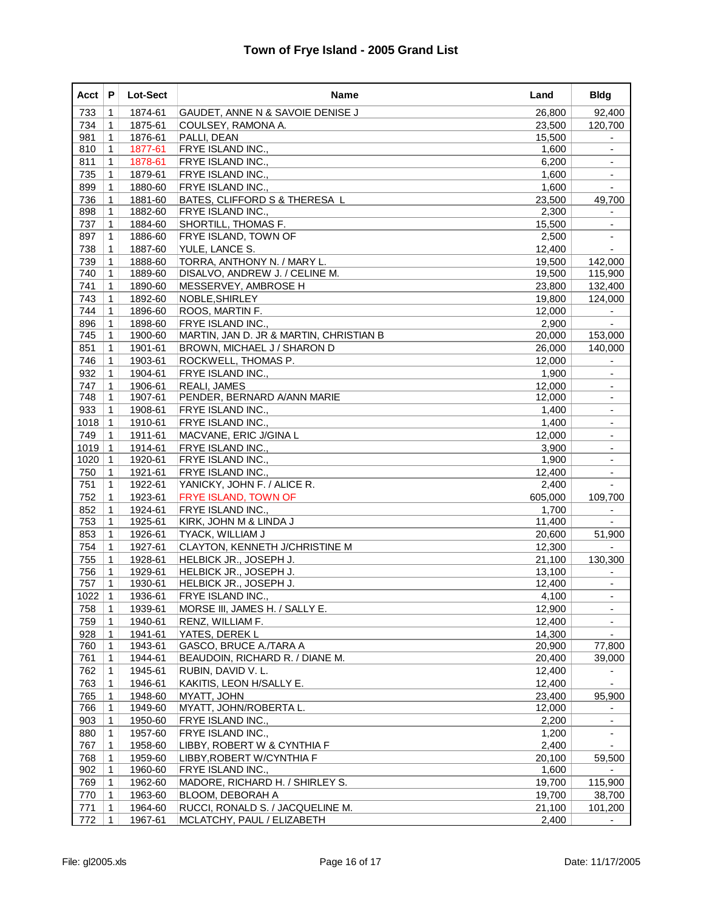| Acct | P            | <b>Lot-Sect</b> | Name                                    | Land    | <b>Bldg</b>              |
|------|--------------|-----------------|-----------------------------------------|---------|--------------------------|
| 733  | 1            | 1874-61         | GAUDET, ANNE N & SAVOIE DENISE J        | 26,800  | 92,400                   |
| 734  | 1            | 1875-61         | COULSEY, RAMONA A.                      | 23,500  | 120,700                  |
| 981  | 1            | 1876-61         | PALLI, DEAN                             | 15,500  |                          |
| 810  | 1            | 1877-61         | FRYE ISLAND INC.,                       | 1,600   |                          |
| 811  | 1            | 1878-61         | <b>FRYE ISLAND INC.,</b>                | 6,200   | $\overline{\phantom{a}}$ |
| 735  | $\mathbf{1}$ | 1879-61         | FRYE ISLAND INC.,                       | 1,600   | $\overline{\phantom{a}}$ |
| 899  | 1            | 1880-60         | FRYE ISLAND INC.,                       | 1,600   |                          |
| 736  | $\mathbf{1}$ | 1881-60         | BATES, CLIFFORD S & THERESA L           | 23,500  | 49,700                   |
| 898  | 1            | 1882-60         | FRYE ISLAND INC.,                       | 2,300   |                          |
| 737  | $\mathbf{1}$ | 1884-60         | SHORTILL, THOMAS F.                     | 15,500  | $\overline{\phantom{a}}$ |
| 897  | $\mathbf{1}$ | 1886-60         | <b>FRYE ISLAND, TOWN OF</b>             | 2,500   | $\overline{\phantom{a}}$ |
| 738  | 1            | 1887-60         | YULE, LANCE S.                          | 12,400  |                          |
| 739  | 1            | 1888-60         | TORRA, ANTHONY N. / MARY L.             | 19,500  | 142,000                  |
| 740  | 1            | 1889-60         | DISALVO, ANDREW J. / CELINE M.          | 19,500  | 115,900                  |
| 741  | 1            | 1890-60         | MESSERVEY, AMBROSE H                    | 23,800  | 132,400                  |
| 743  | $\mathbf{1}$ | 1892-60         | NOBLE, SHIRLEY                          | 19,800  | 124,000                  |
| 744  | 1            | 1896-60         | ROOS, MARTIN F.                         | 12,000  |                          |
| 896  | $\mathbf{1}$ | 1898-60         | <b>FRYE ISLAND INC.,</b>                | 2,900   |                          |
| 745  | 1            | 1900-60         | MARTIN, JAN D. JR & MARTIN, CHRISTIAN B | 20,000  | 153,000                  |
| 851  | $\mathbf 1$  | 1901-61         | BROWN, MICHAEL J / SHARON D             | 26,000  | 140,000                  |
| 746  | $\mathbf{1}$ | 1903-61         | ROCKWELL, THOMAS P.                     | 12,000  | $\overline{\phantom{a}}$ |
| 932  | 1            | 1904-61         | <b>FRYE ISLAND INC.,</b>                | 1,900   |                          |
| 747  | 1            | 1906-61         | <b>REALI, JAMES</b>                     | 12,000  | $\overline{\phantom{a}}$ |
| 748  | 1            | 1907-61         | PENDER, BERNARD A/ANN MARIE             | 12,000  |                          |
| 933  | $\mathbf{1}$ | 1908-61         | FRYE ISLAND INC.,                       | 1,400   | $\overline{\phantom{a}}$ |
| 1018 | $\mathbf{1}$ | 1910-61         | FRYE ISLAND INC.,                       | 1,400   | $\blacksquare$           |
| 749  | 1            | 1911-61         | MACVANE, ERIC J/GINA L                  | 12,000  |                          |
| 1019 | $\mathbf{1}$ | 1914-61         | <b>FRYE ISLAND INC.,</b>                | 3,900   | $\overline{\phantom{a}}$ |
| 1020 | $\mathbf 1$  | 1920-61         | FRYE ISLAND INC.,                       | 1,900   |                          |
| 750  | $\mathbf{1}$ | 1921-61         | <b>FRYE ISLAND INC.,</b>                | 12,400  | $\overline{\phantom{a}}$ |
| 751  | $\mathbf{1}$ | 1922-61         | YANICKY, JOHN F. / ALICE R.             | 2,400   |                          |
| 752  | 1            | 1923-61         | FRYE ISLAND, TOWN OF                    | 605,000 | 109,700                  |
| 852  | 1            | 1924-61         | FRYE ISLAND INC.,                       | 1,700   | $\blacksquare$           |
| 753  | 1            | 1925-61         | KIRK, JOHN M & LINDA J                  | 11,400  |                          |
| 853  | $\mathbf 1$  | 1926-61         | <b>TYACK, WILLIAM J</b>                 | 20,600  | 51,900                   |
| 754  | $\mathbf{1}$ | 1927-61         | CLAYTON, KENNETH J/CHRISTINE M          | 12,300  |                          |
| 755  | 1            | 1928-61         | HELBICK JR., JOSEPH J.                  | 21,100  | 130,300                  |
| 756  | $\mathbf{1}$ | 1929-61         | HELBICK JR., JOSEPH J.                  | 13,100  |                          |
| 757  | 1            | 1930-61         | HELBICK JR., JOSEPH J.                  | 12,400  |                          |
| 1022 | $\mathbf 1$  | 1936-61         | FRYE ISLAND INC.,                       | 4,100   |                          |
| 758  | $\mathbf 1$  | 1939-61         | MORSE III, JAMES H. / SALLY E.          | 12,900  | $\overline{\phantom{a}}$ |
| 759  | $\mathbf 1$  | 1940-61         | RENZ, WILLIAM F.                        | 12,400  |                          |
| 928  | 1            | 1941-61         | YATES, DEREK L                          | 14,300  |                          |
| 760  | $\mathbf 1$  | 1943-61         | GASCO, BRUCE A./TARA A                  | 20,900  | 77,800                   |
| 761  | 1            | 1944-61         | BEAUDOIN, RICHARD R. / DIANE M.         | 20,400  | 39,000                   |
| 762  | 1            | 1945-61         | RUBIN, DAVID V. L.                      | 12,400  | $\blacksquare$           |
| 763  | 1            | 1946-61         | KAKITIS, LEON H/SALLY E.                | 12,400  | $\overline{\phantom{a}}$ |
| 765  | $\mathbf{1}$ | 1948-60         | MYATT, JOHN                             | 23,400  | 95,900                   |
| 766  | $\mathbf 1$  | 1949-60         | MYATT, JOHN/ROBERTA L.                  | 12,000  |                          |
| 903  | 1            | 1950-60         | FRYE ISLAND INC.,                       | 2,200   | $\overline{\phantom{a}}$ |
| 880  | 1            | 1957-60         | <b>FRYE ISLAND INC.,</b>                | 1,200   | $\blacksquare$           |
| 767  | 1            | 1958-60         | LIBBY, ROBERT W & CYNTHIA F             | 2,400   |                          |
| 768  | 1            | 1959-60         | LIBBY, ROBERT W/CYNTHIA F               | 20,100  | 59,500                   |
| 902  | $\mathbf 1$  | 1960-60         | FRYE ISLAND INC.,                       | 1,600   |                          |
| 769  | $\mathbf 1$  | 1962-60         | MADORE, RICHARD H. / SHIRLEY S.         | 19,700  | 115,900                  |
| 770  | $\mathbf 1$  | 1963-60         | BLOOM, DEBORAH A                        | 19,700  | 38,700                   |
| 771  | 1            | 1964-60         | RUCCI, RONALD S. / JACQUELINE M.        | 21,100  | 101,200                  |
| 772  | $\mathbf 1$  | 1967-61         | MCLATCHY, PAUL / ELIZABETH              | 2,400   |                          |